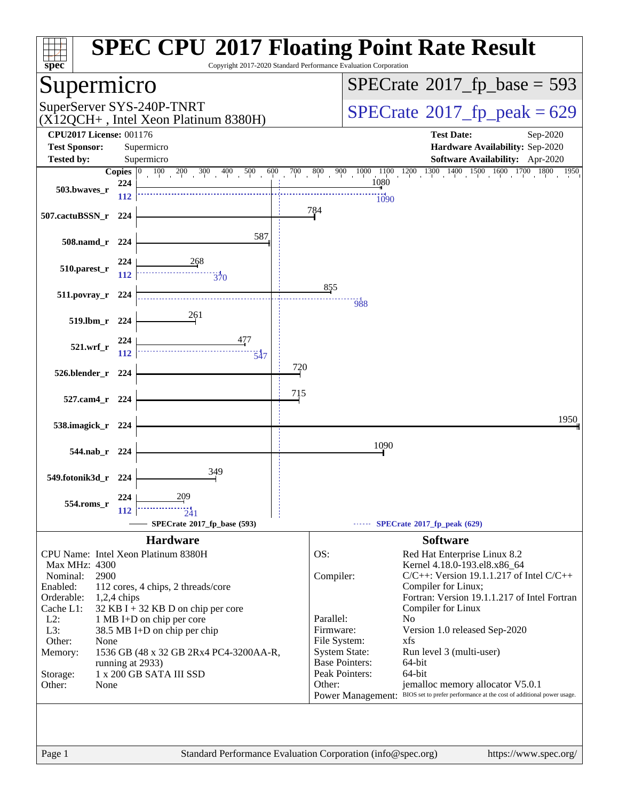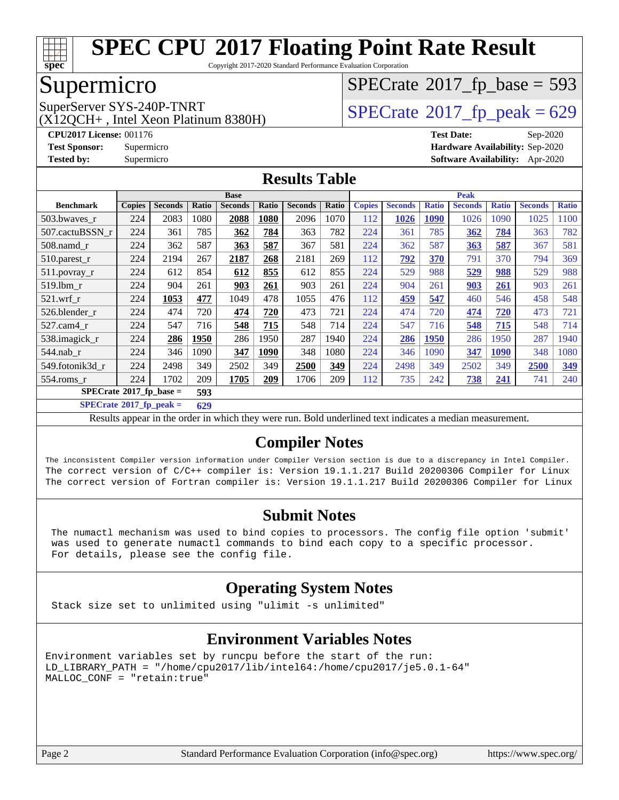

Copyright 2017-2020 Standard Performance Evaluation Corporation

## Supermicro

(X12QCH+ , Intel Xeon Platinum 8380H)

 $SPECTate$ <sup>®</sup>[2017\\_fp\\_base =](http://www.spec.org/auto/cpu2017/Docs/result-fields.html#SPECrate2017fpbase) 593

SuperServer SYS-240P-TNRT  $\begin{array}{c|c}\n\text{SuperServer SYS-240P-TNRT} & & \text{SPECrate} \n\hline\n\text{SPECrate} \n\end{array}$  $\begin{array}{c|c}\n\text{SuperServer SYS-240P-TNRT} & & \text{SPECrate} \n\hline\n\text{SPECrate} \n\end{array}$  $\begin{array}{c|c}\n\text{SuperServer SYS-240P-TNRT} & & \text{SPECrate} \n\hline\n\text{SPECrate} \n\end{array}$ 

**[CPU2017 License:](http://www.spec.org/auto/cpu2017/Docs/result-fields.html#CPU2017License)** 001176 **[Test Date:](http://www.spec.org/auto/cpu2017/Docs/result-fields.html#TestDate)** Sep-2020 **[Test Sponsor:](http://www.spec.org/auto/cpu2017/Docs/result-fields.html#TestSponsor)** Supermicro **[Hardware Availability:](http://www.spec.org/auto/cpu2017/Docs/result-fields.html#HardwareAvailability)** Sep-2020 **[Tested by:](http://www.spec.org/auto/cpu2017/Docs/result-fields.html#Testedby)** Supermicro **[Software Availability:](http://www.spec.org/auto/cpu2017/Docs/result-fields.html#SoftwareAvailability)** Apr-2020

#### **[Results Table](http://www.spec.org/auto/cpu2017/Docs/result-fields.html#ResultsTable)**

|                                          | <b>Base</b>   |                |       |                |       | <b>Peak</b>    |       |               |                |              |                |              |                |              |
|------------------------------------------|---------------|----------------|-------|----------------|-------|----------------|-------|---------------|----------------|--------------|----------------|--------------|----------------|--------------|
| <b>Benchmark</b>                         | <b>Copies</b> | <b>Seconds</b> | Ratio | <b>Seconds</b> | Ratio | <b>Seconds</b> | Ratio | <b>Copies</b> | <b>Seconds</b> | <b>Ratio</b> | <b>Seconds</b> | <b>Ratio</b> | <b>Seconds</b> | <b>Ratio</b> |
| 503.bwaves_r                             | 224           | 2083           | 1080  | 2088           | 1080  | 2096           | 1070  | 112           | 1026           | <b>1090</b>  | 1026           | 1090         | 1025           | 1100         |
| 507.cactuBSSN r                          | 224           | 361            | 785   | 362            | 784   | 363            | 782   | 224           | 361            | 785          | 362            | 784          | 363            | 782          |
| $508$ .namd $r$                          | 224           | 362            | 587   | 363            | 587   | 367            | 581   | 224           | 362            | 587          | 363            | 587          | 367            | 581          |
| 510.parest_r                             | 224           | 2194           | 267   | 2187           | 268   | 2181           | 269   | 112           | 792            | 370          | 791            | 370          | 794            | 369          |
| 511.povray_r                             | 224           | 612            | 854   | 612            | 855   | 612            | 855   | 224           | 529            | 988          | 529            | 988          | 529            | 988          |
| 519.1bm r                                | 224           | 904            | 261   | 903            | 261   | 903            | 261   | 224           | 904            | 261          | 903            | 261          | 903            | 261          |
| $521$ .wrf r                             | 224           | 1053           | 477   | 1049           | 478   | 1055           | 476   | 112           | 459            | 547          | 460            | 546          | 458            | 548          |
| 526.blender r                            | 224           | 474            | 720   | 474            | 720   | 473            | 721   | 224           | 474            | 720          | 474            | 720          | 473            | 721          |
| $527$ .cam $4$ r                         | 224           | 547            | 716   | 548            | 715   | 548            | 714   | 224           | 547            | 716          | 548            | 715          | 548            | 714          |
| 538.imagick_r                            | 224           | 286            | 1950  | 286            | 1950  | 287            | 1940  | 224           | 286            | 1950         | 286            | 1950         | 287            | 1940         |
| 544.nab r                                | 224           | 346            | 1090  | 347            | 1090  | 348            | 1080  | 224           | 346            | 1090         | 347            | 1090         | 348            | 1080         |
| 549.fotonik3d r                          | 224           | 2498           | 349   | 2502           | 349   | 2500           | 349   | 224           | 2498           | 349          | 2502           | 349          | 2500           | 349          |
| $554$ .roms r                            | 224           | 1702           | 209   | 1705           | 209   | 1706           | 209   | 112           | 735            | 242          | 738            | 241          | 741            | 240          |
| $SPECrate^{\circ}2017$ _fp_base =<br>593 |               |                |       |                |       |                |       |               |                |              |                |              |                |              |

**[SPECrate](http://www.spec.org/auto/cpu2017/Docs/result-fields.html#SPECrate2017fppeak)[2017\\_fp\\_peak =](http://www.spec.org/auto/cpu2017/Docs/result-fields.html#SPECrate2017fppeak) 629**

Results appear in the [order in which they were run](http://www.spec.org/auto/cpu2017/Docs/result-fields.html#RunOrder). Bold underlined text [indicates a median measurement](http://www.spec.org/auto/cpu2017/Docs/result-fields.html#Median).

#### **[Compiler Notes](http://www.spec.org/auto/cpu2017/Docs/result-fields.html#CompilerNotes)**

The inconsistent Compiler version information under Compiler Version section is due to a discrepancy in Intel Compiler. The correct version of C/C++ compiler is: Version 19.1.1.217 Build 20200306 Compiler for Linux The correct version of Fortran compiler is: Version 19.1.1.217 Build 20200306 Compiler for Linux

### **[Submit Notes](http://www.spec.org/auto/cpu2017/Docs/result-fields.html#SubmitNotes)**

 The numactl mechanism was used to bind copies to processors. The config file option 'submit' was used to generate numactl commands to bind each copy to a specific processor. For details, please see the config file.

### **[Operating System Notes](http://www.spec.org/auto/cpu2017/Docs/result-fields.html#OperatingSystemNotes)**

Stack size set to unlimited using "ulimit -s unlimited"

### **[Environment Variables Notes](http://www.spec.org/auto/cpu2017/Docs/result-fields.html#EnvironmentVariablesNotes)**

Environment variables set by runcpu before the start of the run: LD\_LIBRARY\_PATH = "/home/cpu2017/lib/intel64:/home/cpu2017/je5.0.1-64" MALLOC\_CONF = "retain:true"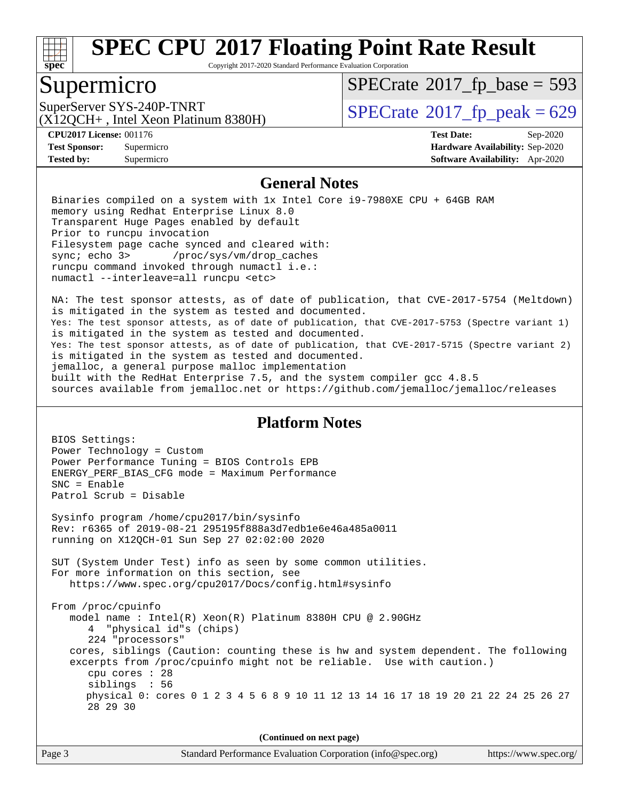

Copyright 2017-2020 Standard Performance Evaluation Corporation

### Supermicro

 $SPECTate$ <sup>®</sup>[2017\\_fp\\_base =](http://www.spec.org/auto/cpu2017/Docs/result-fields.html#SPECrate2017fpbase) 593

(X12QCH+ , Intel Xeon Platinum 8380H)

SuperServer SYS-240P-TNRT  $\begin{array}{c|c}\n\text{SuperServer SYS-240P-TNRT} & \text{SPECrate} \textcirc 2017\_fp\_peak = 629\n\end{array}$  $\begin{array}{c|c}\n\text{SuperServer SYS-240P-TNRT} & \text{SPECrate} \textcirc 2017\_fp\_peak = 629\n\end{array}$  $\begin{array}{c|c}\n\text{SuperServer SYS-240P-TNRT} & \text{SPECrate} \textcirc 2017\_fp\_peak = 629\n\end{array}$ 

**[Tested by:](http://www.spec.org/auto/cpu2017/Docs/result-fields.html#Testedby)** Supermicro **[Software Availability:](http://www.spec.org/auto/cpu2017/Docs/result-fields.html#SoftwareAvailability)** Apr-2020

**[CPU2017 License:](http://www.spec.org/auto/cpu2017/Docs/result-fields.html#CPU2017License)** 001176 **[Test Date:](http://www.spec.org/auto/cpu2017/Docs/result-fields.html#TestDate)** Sep-2020 **[Test Sponsor:](http://www.spec.org/auto/cpu2017/Docs/result-fields.html#TestSponsor)** Supermicro **[Hardware Availability:](http://www.spec.org/auto/cpu2017/Docs/result-fields.html#HardwareAvailability)** Sep-2020

#### **[General Notes](http://www.spec.org/auto/cpu2017/Docs/result-fields.html#GeneralNotes)**

 Binaries compiled on a system with 1x Intel Core i9-7980XE CPU + 64GB RAM memory using Redhat Enterprise Linux 8.0 Transparent Huge Pages enabled by default Prior to runcpu invocation Filesystem page cache synced and cleared with: sync; echo 3> /proc/sys/vm/drop\_caches runcpu command invoked through numactl i.e.: numactl --interleave=all runcpu <etc>

 NA: The test sponsor attests, as of date of publication, that CVE-2017-5754 (Meltdown) is mitigated in the system as tested and documented. Yes: The test sponsor attests, as of date of publication, that CVE-2017-5753 (Spectre variant 1) is mitigated in the system as tested and documented. Yes: The test sponsor attests, as of date of publication, that CVE-2017-5715 (Spectre variant 2) is mitigated in the system as tested and documented. jemalloc, a general purpose malloc implementation built with the RedHat Enterprise 7.5, and the system compiler gcc 4.8.5 sources available from jemalloc.net or<https://github.com/jemalloc/jemalloc/releases>

#### **[Platform Notes](http://www.spec.org/auto/cpu2017/Docs/result-fields.html#PlatformNotes)**

 BIOS Settings: Power Technology = Custom Power Performance Tuning = BIOS Controls EPB ENERGY\_PERF\_BIAS\_CFG mode = Maximum Performance SNC = Enable Patrol Scrub = Disable Sysinfo program /home/cpu2017/bin/sysinfo Rev: r6365 of 2019-08-21 295195f888a3d7edb1e6e46a485a0011 running on X12QCH-01 Sun Sep 27 02:02:00 2020 SUT (System Under Test) info as seen by some common utilities. For more information on this section, see <https://www.spec.org/cpu2017/Docs/config.html#sysinfo> From /proc/cpuinfo model name : Intel(R) Xeon(R) Platinum 8380H CPU @ 2.90GHz 4 "physical id"s (chips) 224 "processors" cores, siblings (Caution: counting these is hw and system dependent. The following excerpts from /proc/cpuinfo might not be reliable. Use with caution.) cpu cores : 28 siblings : 56 physical 0: cores 0 1 2 3 4 5 6 8 9 10 11 12 13 14 16 17 18 19 20 21 22 24 25 26 27 28 29 30

**(Continued on next page)**

| Page 3 | Standard Performance Evaluation Corporation (info@spec.org) | https://www.spec.org/ |
|--------|-------------------------------------------------------------|-----------------------|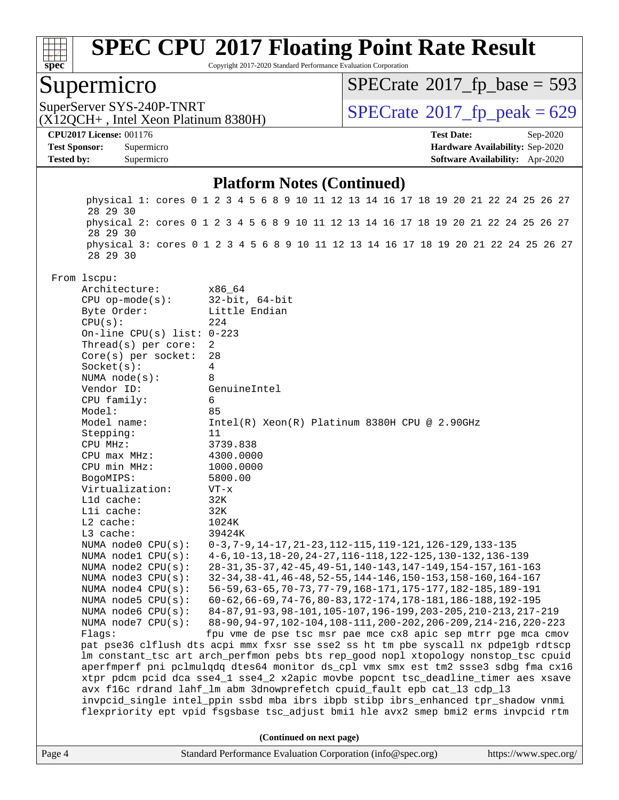

Copyright 2017-2020 Standard Performance Evaluation Corporation

### Supermicro

 $SPECTate$ <sup>®</sup>[2017\\_fp\\_base =](http://www.spec.org/auto/cpu2017/Docs/result-fields.html#SPECrate2017fpbase) 593

(X12QCH+ , Intel Xeon Platinum 8380H)

SuperServer SYS-240P-TNRT  $\begin{array}{c|c}\n\text{SuperServer SYS-240P-TNRT} & \text{SPECrate} \n\hline\n\end{array}$  $\begin{array}{c|c}\n\text{SuperServer SYS-240P-TNRT} & \text{SPECrate} \n\hline\n\end{array}$  $\begin{array}{c|c}\n\text{SuperServer SYS-240P-TNRT} & \text{SPECrate} \n\hline\n\end{array}$ 

**[CPU2017 License:](http://www.spec.org/auto/cpu2017/Docs/result-fields.html#CPU2017License)** 001176 **[Test Date:](http://www.spec.org/auto/cpu2017/Docs/result-fields.html#TestDate)** Sep-2020 **[Test Sponsor:](http://www.spec.org/auto/cpu2017/Docs/result-fields.html#TestSponsor)** Supermicro **[Hardware Availability:](http://www.spec.org/auto/cpu2017/Docs/result-fields.html#HardwareAvailability)** Sep-2020 **[Tested by:](http://www.spec.org/auto/cpu2017/Docs/result-fields.html#Testedby)** Supermicro **[Software Availability:](http://www.spec.org/auto/cpu2017/Docs/result-fields.html#SoftwareAvailability)** Apr-2020

#### **[Platform Notes \(Continued\)](http://www.spec.org/auto/cpu2017/Docs/result-fields.html#PlatformNotes)**

Page 4 Standard Performance Evaluation Corporation [\(info@spec.org\)](mailto:info@spec.org) <https://www.spec.org/> physical 1: cores 0 1 2 3 4 5 6 8 9 10 11 12 13 14 16 17 18 19 20 21 22 24 25 26 27 28 29 30 physical 2: cores 0 1 2 3 4 5 6 8 9 10 11 12 13 14 16 17 18 19 20 21 22 24 25 26 27 28 29 30 physical 3: cores 0 1 2 3 4 5 6 8 9 10 11 12 13 14 16 17 18 19 20 21 22 24 25 26 27 28 29 30 From lscpu: Architecture: x86\_64 CPU op-mode(s): 32-bit, 64-bit Byte Order: Little Endian  $CPU(s):$  224 On-line CPU(s) list: 0-223 Thread(s) per core: 2 Core(s) per socket: 28 Socket(s): 4 NUMA node(s): 8 Vendor ID: GenuineIntel CPU family: 6 Model: 85 Model name: Intel(R) Xeon(R) Platinum 8380H CPU @ 2.90GHz Stepping: 11 CPU MHz: 3739.838 CPU max MHz: 4300.0000 CPU min MHz: 1000.0000 BogoMIPS: 5800.00 Virtualization: VT-x L1d cache: 32K L1i cache: 32K L2 cache: 1024K L3 cache: 39424K NUMA node0 CPU(s): 0-3,7-9,14-17,21-23,112-115,119-121,126-129,133-135 NUMA node1 CPU(s): 4-6,10-13,18-20,24-27,116-118,122-125,130-132,136-139 NUMA node2 CPU(s): 28-31,35-37,42-45,49-51,140-143,147-149,154-157,161-163 NUMA node3 CPU(s): 32-34,38-41,46-48,52-55,144-146,150-153,158-160,164-167 NUMA node4 CPU(s): 56-59,63-65,70-73,77-79,168-171,175-177,182-185,189-191 NUMA node5 CPU(s): 60-62,66-69,74-76,80-83,172-174,178-181,186-188,192-195 NUMA node6 CPU(s): 84-87,91-93,98-101,105-107,196-199,203-205,210-213,217-219 NUMA node7 CPU(s): 88-90,94-97,102-104,108-111,200-202,206-209,214-216,220-223 Flags: fpu vme de pse tsc msr pae mce cx8 apic sep mtrr pge mca cmov pat pse36 clflush dts acpi mmx fxsr sse sse2 ss ht tm pbe syscall nx pdpe1gb rdtscp lm constant\_tsc art arch\_perfmon pebs bts rep\_good nopl xtopology nonstop\_tsc cpuid aperfmperf pni pclmulqdq dtes64 monitor ds\_cpl vmx smx est tm2 ssse3 sdbg fma cx16 xtpr pdcm pcid dca sse4\_1 sse4\_2 x2apic movbe popcnt tsc\_deadline\_timer aes xsave avx f16c rdrand lahf\_lm abm 3dnowprefetch cpuid\_fault epb cat\_l3 cdp\_l3 invpcid\_single intel\_ppin ssbd mba ibrs ibpb stibp ibrs\_enhanced tpr\_shadow vnmi flexpriority ept vpid fsgsbase tsc\_adjust bmi1 hle avx2 smep bmi2 erms invpcid rtm **(Continued on next page)**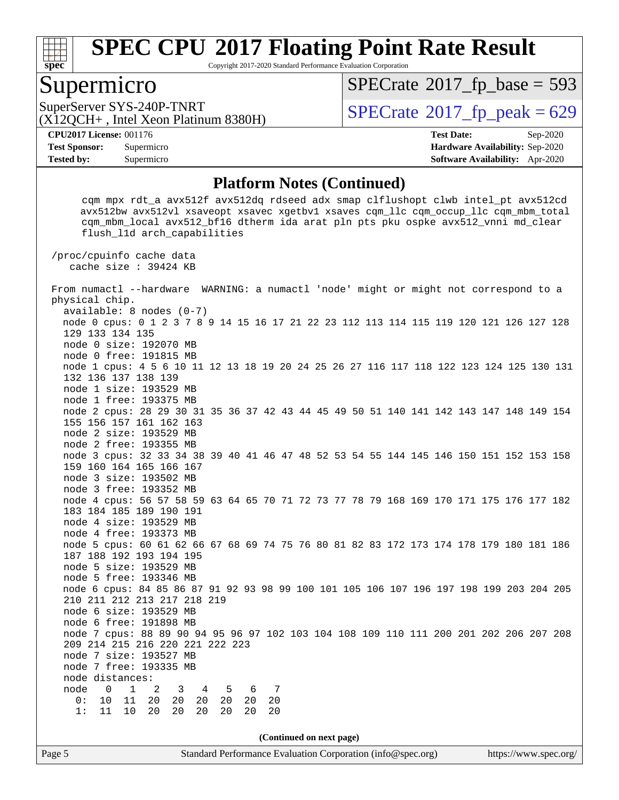

Copyright 2017-2020 Standard Performance Evaluation Corporation

### Supermicro

 $SPECTate$ <sup>®</sup>[2017\\_fp\\_base =](http://www.spec.org/auto/cpu2017/Docs/result-fields.html#SPECrate2017fpbase) 593

(X12QCH+ , Intel Xeon Platinum 8380H)

SuperServer SYS-240P-TNRT  $\begin{array}{c|c}\n\text{SuperServer SYS-240P-TNRT} & \text{SPECrate} \n\hline\n\text{C120CH+ Intel Yeon Platinum 8380H}\n\end{array}$  $\begin{array}{c|c}\n\text{SuperServer SYS-240P-TNRT} & \text{SPECrate} \n\hline\n\text{C120CH+ Intel Yeon Platinum 8380H}\n\end{array}$  $\begin{array}{c|c}\n\text{SuperServer SYS-240P-TNRT} & \text{SPECrate} \n\hline\n\text{C120CH+ Intel Yeon Platinum 8380H}\n\end{array}$ 

**[Tested by:](http://www.spec.org/auto/cpu2017/Docs/result-fields.html#Testedby)** Supermicro **[Software Availability:](http://www.spec.org/auto/cpu2017/Docs/result-fields.html#SoftwareAvailability)** Apr-2020

**[CPU2017 License:](http://www.spec.org/auto/cpu2017/Docs/result-fields.html#CPU2017License)** 001176 **[Test Date:](http://www.spec.org/auto/cpu2017/Docs/result-fields.html#TestDate)** Sep-2020 **[Test Sponsor:](http://www.spec.org/auto/cpu2017/Docs/result-fields.html#TestSponsor)** Supermicro **[Hardware Availability:](http://www.spec.org/auto/cpu2017/Docs/result-fields.html#HardwareAvailability)** Sep-2020

#### **[Platform Notes \(Continued\)](http://www.spec.org/auto/cpu2017/Docs/result-fields.html#PlatformNotes)**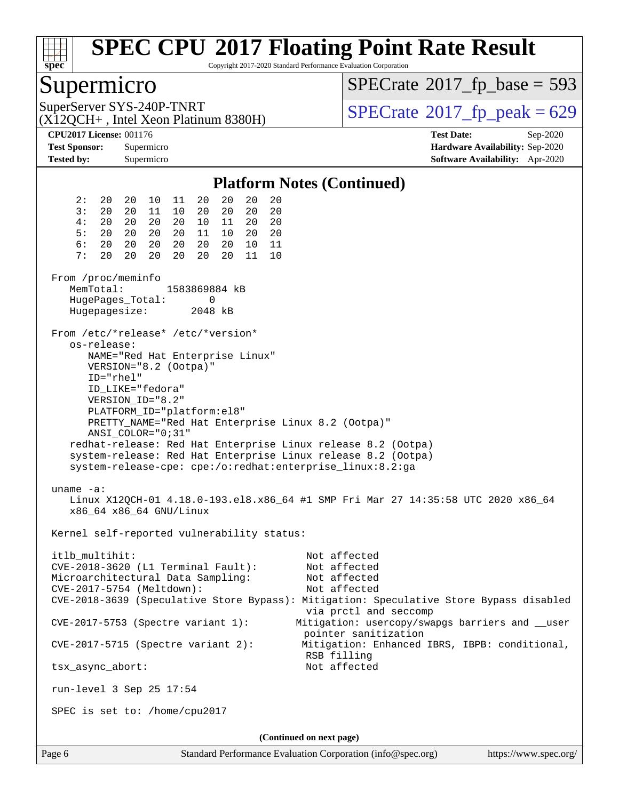

Copyright 2017-2020 Standard Performance Evaluation Corporation

### Supermicro

 $SPECTate$ <sup>®</sup>[2017\\_fp\\_base =](http://www.spec.org/auto/cpu2017/Docs/result-fields.html#SPECrate2017fpbase) 593

(X12QCH+ , Intel Xeon Platinum 8380H)

SuperServer SYS-240P-TNRT  $\begin{array}{c|c}\n\text{SuperServer SYS-240P-TNRT} & \text{SPECrate} \textcirc 2017\_fp\_peak = 629\n\end{array}$  $\begin{array}{c|c}\n\text{SuperServer SYS-240P-TNRT} & \text{SPECrate} \textcirc 2017\_fp\_peak = 629\n\end{array}$  $\begin{array}{c|c}\n\text{SuperServer SYS-240P-TNRT} & \text{SPECrate} \textcirc 2017\_fp\_peak = 629\n\end{array}$ 

**[CPU2017 License:](http://www.spec.org/auto/cpu2017/Docs/result-fields.html#CPU2017License)** 001176 **[Test Date:](http://www.spec.org/auto/cpu2017/Docs/result-fields.html#TestDate)** Sep-2020 **[Test Sponsor:](http://www.spec.org/auto/cpu2017/Docs/result-fields.html#TestSponsor)** Supermicro **[Hardware Availability:](http://www.spec.org/auto/cpu2017/Docs/result-fields.html#HardwareAvailability)** Sep-2020 **[Tested by:](http://www.spec.org/auto/cpu2017/Docs/result-fields.html#Testedby)** Supermicro **[Software Availability:](http://www.spec.org/auto/cpu2017/Docs/result-fields.html#SoftwareAvailability)** Apr-2020

#### **[Platform Notes \(Continued\)](http://www.spec.org/auto/cpu2017/Docs/result-fields.html#PlatformNotes)** 2: 20 20 10 11 20 20 20 20 3: 20 20 11 10 20 20 20 20 4: 20 20 20 20 10 11 20 20 5: 20 20 20 20 11 10 20 20 6: 20 20 20 20 20 20 10 11 7: 20 20 20 20 20 20 11 10 From /proc/meminfo MemTotal: 1583869884 kB HugePages\_Total: 0 Hugepagesize: 2048 kB From /etc/\*release\* /etc/\*version\* os-release: NAME="Red Hat Enterprise Linux" VERSION="8.2 (Ootpa)" ID="rhel" ID\_LIKE="fedora" VERSION\_ID="8.2" PLATFORM\_ID="platform:el8" PRETTY\_NAME="Red Hat Enterprise Linux 8.2 (Ootpa)" ANSI\_COLOR="0;31" redhat-release: Red Hat Enterprise Linux release 8.2 (Ootpa) system-release: Red Hat Enterprise Linux release 8.2 (Ootpa) system-release-cpe: cpe:/o:redhat:enterprise\_linux:8.2:ga uname -a: Linux X12QCH-01 4.18.0-193.el8.x86\_64 #1 SMP Fri Mar 27 14:35:58 UTC 2020 x86\_64 x86\_64 x86\_64 GNU/Linux Kernel self-reported vulnerability status: itlb\_multihit: Not affected CVE-2018-3620 (L1 Terminal Fault): Not affected Microarchitectural Data Sampling: Not affected CVE-2017-5754 (Meltdown): Not affected CVE-2018-3639 (Speculative Store Bypass): Mitigation: Speculative Store Bypass disabled via prctl and seccomp CVE-2017-5753 (Spectre variant 1): Mitigation: usercopy/swapgs barriers and \_\_user pointer sanitization CVE-2017-5715 (Spectre variant 2): Mitigation: Enhanced IBRS, IBPB: conditional, RSB filling tsx\_async\_abort: Not affected run-level 3 Sep 25 17:54 SPEC is set to: /home/cpu2017 **(Continued on next page)**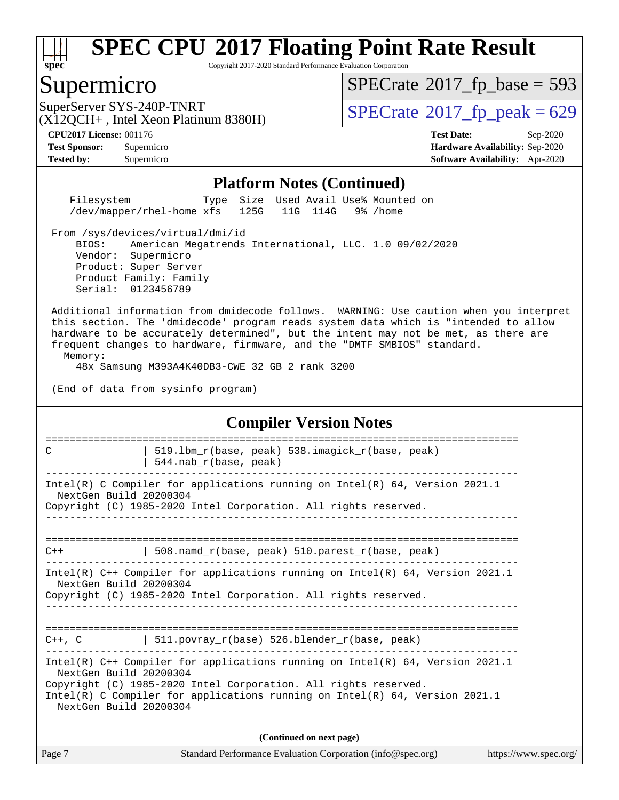

Copyright 2017-2020 Standard Performance Evaluation Corporation

### Supermicro

 $SPECTate$ <sup>®</sup>[2017\\_fp\\_base =](http://www.spec.org/auto/cpu2017/Docs/result-fields.html#SPECrate2017fpbase) 593

(X12QCH+ , Intel Xeon Platinum 8380H)

SuperServer SYS-240P-TNRT  $\begin{array}{c|c}\n\text{SuperServer SYS-240P-TNRT} & \text{SPECrate} \n\hline\n\end{array}$  $\begin{array}{c|c}\n\text{SuperServer SYS-240P-TNRT} & \text{SPECrate} \n\hline\n\end{array}$  $\begin{array}{c|c}\n\text{SuperServer SYS-240P-TNRT} & \text{SPECrate} \n\hline\n\end{array}$ 

**[Tested by:](http://www.spec.org/auto/cpu2017/Docs/result-fields.html#Testedby)** Supermicro **[Software Availability:](http://www.spec.org/auto/cpu2017/Docs/result-fields.html#SoftwareAvailability)** Apr-2020

**[CPU2017 License:](http://www.spec.org/auto/cpu2017/Docs/result-fields.html#CPU2017License)** 001176 **[Test Date:](http://www.spec.org/auto/cpu2017/Docs/result-fields.html#TestDate)** Sep-2020 **[Test Sponsor:](http://www.spec.org/auto/cpu2017/Docs/result-fields.html#TestSponsor)** Supermicro **[Hardware Availability:](http://www.spec.org/auto/cpu2017/Docs/result-fields.html#HardwareAvailability)** Sep-2020

#### **[Platform Notes \(Continued\)](http://www.spec.org/auto/cpu2017/Docs/result-fields.html#PlatformNotes)**

 Filesystem Type Size Used Avail Use% Mounted on /dev/mapper/rhel-home xfs 125G 11G 114G 9% /home

From /sys/devices/virtual/dmi/id

 BIOS: American Megatrends International, LLC. 1.0 09/02/2020 Vendor: Supermicro Product: Super Server Product Family: Family Serial: 0123456789

 Additional information from dmidecode follows. WARNING: Use caution when you interpret this section. The 'dmidecode' program reads system data which is "intended to allow hardware to be accurately determined", but the intent may not be met, as there are frequent changes to hardware, firmware, and the "DMTF SMBIOS" standard. Memory:

48x Samsung M393A4K40DB3-CWE 32 GB 2 rank 3200

(End of data from sysinfo program)

#### **[Compiler Version Notes](http://www.spec.org/auto/cpu2017/Docs/result-fields.html#CompilerVersionNotes)**

| 519.1bm_r(base, peak) 538.imagick_r(base, peak)<br>C                                                                                                                                                                                                                                     |  |  |  |  |  |  |  |
|------------------------------------------------------------------------------------------------------------------------------------------------------------------------------------------------------------------------------------------------------------------------------------------|--|--|--|--|--|--|--|
| $544.nab_r(base, peak)$                                                                                                                                                                                                                                                                  |  |  |  |  |  |  |  |
| Intel(R) C Compiler for applications running on Intel(R) $64$ , Version 2021.1<br>NextGen Build 20200304                                                                                                                                                                                 |  |  |  |  |  |  |  |
| Copyright (C) 1985-2020 Intel Corporation. All rights reserved.                                                                                                                                                                                                                          |  |  |  |  |  |  |  |
|                                                                                                                                                                                                                                                                                          |  |  |  |  |  |  |  |
| 508.namd_r(base, peak) 510.parest_r(base, peak)<br>$C++$                                                                                                                                                                                                                                 |  |  |  |  |  |  |  |
| Intel(R) $C++$ Compiler for applications running on Intel(R) 64, Version 2021.1<br>NextGen Build 20200304<br>Copyright (C) 1985-2020 Intel Corporation. All rights reserved.                                                                                                             |  |  |  |  |  |  |  |
| $C++$ , C $\qquad \qquad$ 511. povray_r(base) 526. blender_r(base, peak)                                                                                                                                                                                                                 |  |  |  |  |  |  |  |
| Intel(R) $C++$ Compiler for applications running on Intel(R) 64, Version 2021.1<br>NextGen Build 20200304<br>Copyright (C) 1985-2020 Intel Corporation. All rights reserved.<br>Intel(R) C Compiler for applications running on Intel(R) $64$ , Version 2021.1<br>NextGen Build 20200304 |  |  |  |  |  |  |  |
| (Continued on next page)                                                                                                                                                                                                                                                                 |  |  |  |  |  |  |  |

Page 7 Standard Performance Evaluation Corporation [\(info@spec.org\)](mailto:info@spec.org) <https://www.spec.org/>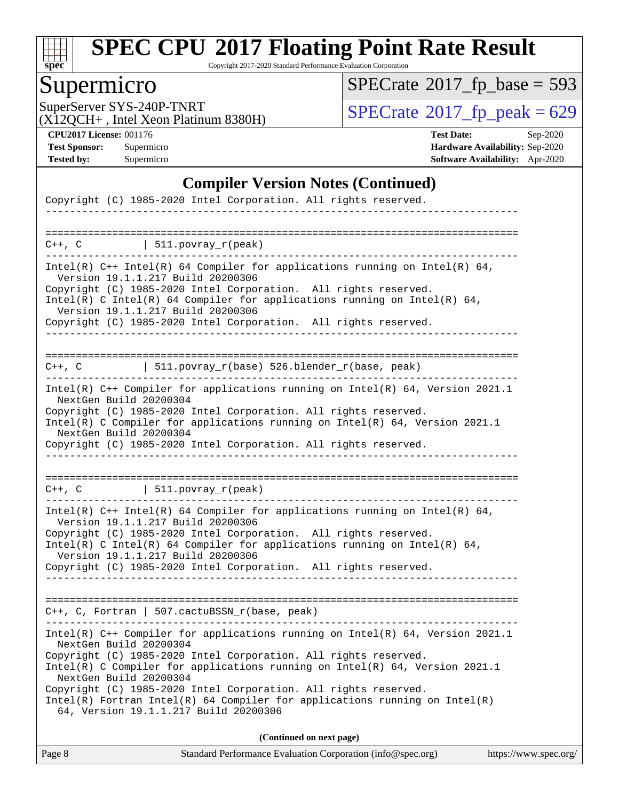

Copyright 2017-2020 Standard Performance Evaluation Corporation

## Supermicro

 $SPECTate$ <sup>®</sup>[2017\\_fp\\_base =](http://www.spec.org/auto/cpu2017/Docs/result-fields.html#SPECrate2017fpbase) 593

(X12QCH+ , Intel Xeon Platinum 8380H)

SuperServer SYS-240P-TNRT<br>(X12OCH+ Intel Xeon Platinum 8380H)  $SPECrate@2017_fp\_peak = 629$  $SPECrate@2017_fp\_peak = 629$ 

**[CPU2017 License:](http://www.spec.org/auto/cpu2017/Docs/result-fields.html#CPU2017License)** 001176 **[Test Date:](http://www.spec.org/auto/cpu2017/Docs/result-fields.html#TestDate)** Sep-2020 **[Test Sponsor:](http://www.spec.org/auto/cpu2017/Docs/result-fields.html#TestSponsor)** Supermicro **[Hardware Availability:](http://www.spec.org/auto/cpu2017/Docs/result-fields.html#HardwareAvailability)** Sep-2020 **[Tested by:](http://www.spec.org/auto/cpu2017/Docs/result-fields.html#Testedby)** Supermicro **[Software Availability:](http://www.spec.org/auto/cpu2017/Docs/result-fields.html#SoftwareAvailability)** Apr-2020

#### **[Compiler Version Notes \(Continued\)](http://www.spec.org/auto/cpu2017/Docs/result-fields.html#CompilerVersionNotes)**

| Copyright (C) 1985-2020 Intel Corporation. All rights reserved.                                                                                                                      |
|--------------------------------------------------------------------------------------------------------------------------------------------------------------------------------------|
|                                                                                                                                                                                      |
| $C++$ , C $\qquad \qquad \vert$ 511.povray_r(peak)                                                                                                                                   |
| Intel(R) $C++$ Intel(R) 64 Compiler for applications running on Intel(R) 64,<br>Version 19.1.1.217 Build 20200306<br>Copyright (C) 1985-2020 Intel Corporation. All rights reserved. |
| $Intel(R)$ C Intel(R) 64 Compiler for applications running on Intel(R) 64,<br>Version 19.1.1.217 Build 20200306                                                                      |
| Copyright (C) 1985-2020 Intel Corporation. All rights reserved.                                                                                                                      |
|                                                                                                                                                                                      |
|                                                                                                                                                                                      |
| C++, C $  511.povray_r(base) 526.blender_r(base, peak)$                                                                                                                              |
| Intel(R) C++ Compiler for applications running on Intel(R) 64, Version 2021.1<br>NextGen Build 20200304                                                                              |
| Copyright (C) 1985-2020 Intel Corporation. All rights reserved.<br>Intel(R) C Compiler for applications running on Intel(R) 64, Version 2021.1<br>NextGen Build 20200304             |
| Copyright (C) 1985-2020 Intel Corporation. All rights reserved.                                                                                                                      |
|                                                                                                                                                                                      |
|                                                                                                                                                                                      |
| $C++$ , C $\qquad \qquad \vert$ 511.povray_r(peak)                                                                                                                                   |
| ----------------------------<br>$Intel(R)$ C++ Intel(R) 64 Compiler for applications running on Intel(R) 64,<br>Version 19.1.1.217 Build 20200306                                    |
| Copyright (C) 1985-2020 Intel Corporation. All rights reserved.<br>Intel(R) C Intel(R) 64 Compiler for applications running on Intel(R) 64,                                          |
| Version 19.1.1.217 Build 20200306<br>Copyright (C) 1985-2020 Intel Corporation. All rights reserved.                                                                                 |
|                                                                                                                                                                                      |
| $C++$ , C, Fortran   507.cactuBSSN_r(base, peak)                                                                                                                                     |
| Intel(R) C++ Compiler for applications running on Intel(R) 64, Version 2021.1                                                                                                        |
| NextGen Build 20200304                                                                                                                                                               |
| Copyright (C) 1985-2020 Intel Corporation. All rights reserved.<br>Intel(R) C Compiler for applications running on Intel(R) 64, Version 2021.1<br>NextGen Build 20200304             |
| Copyright (C) 1985-2020 Intel Corporation. All rights reserved.                                                                                                                      |
| Intel(R) Fortran Intel(R) 64 Compiler for applications running on Intel(R)<br>64, Version 19.1.1.217 Build 20200306                                                                  |
| (Continued on next page)                                                                                                                                                             |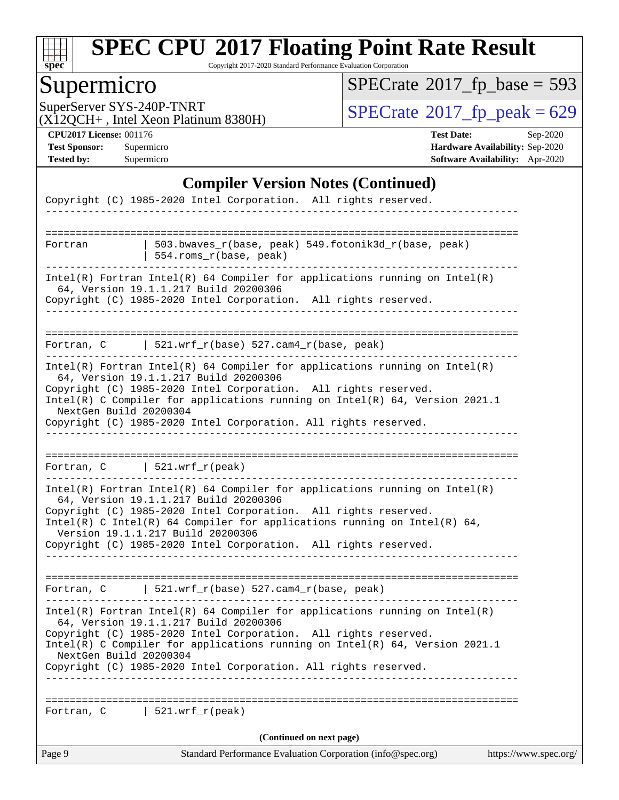

Copyright 2017-2020 Standard Performance Evaluation Corporation

## Supermicro

 $SPECTate$ <sup>®</sup>[2017\\_fp\\_base =](http://www.spec.org/auto/cpu2017/Docs/result-fields.html#SPECrate2017fpbase) 593

(X12QCH+ , Intel Xeon Platinum 8380H)

SuperServer SYS-240P-TNRT<br>(X12OCH+ Intel Xeon Platinum 8380H)  $SPECrate@2017_fp\_peak = 629$  $SPECrate@2017_fp\_peak = 629$ 

**[CPU2017 License:](http://www.spec.org/auto/cpu2017/Docs/result-fields.html#CPU2017License)** 001176 **[Test Date:](http://www.spec.org/auto/cpu2017/Docs/result-fields.html#TestDate)** Sep-2020 **[Test Sponsor:](http://www.spec.org/auto/cpu2017/Docs/result-fields.html#TestSponsor)** Supermicro **[Hardware Availability:](http://www.spec.org/auto/cpu2017/Docs/result-fields.html#HardwareAvailability)** Sep-2020 **[Tested by:](http://www.spec.org/auto/cpu2017/Docs/result-fields.html#Testedby)** Supermicro **[Software Availability:](http://www.spec.org/auto/cpu2017/Docs/result-fields.html#SoftwareAvailability)** Apr-2020

#### **[Compiler Version Notes \(Continued\)](http://www.spec.org/auto/cpu2017/Docs/result-fields.html#CompilerVersionNotes)**

| Standard Performance Evaluation Corporation (info@spec.org)<br>Page 9<br>https://www.spec.org/                                                    |  |
|---------------------------------------------------------------------------------------------------------------------------------------------------|--|
| (Continued on next page)                                                                                                                          |  |
| $\vert$ 521.wrf_r(peak)<br>Fortran, C                                                                                                             |  |
| Copyright (C) 1985-2020 Intel Corporation. All rights reserved.<br>--------------------------------------                                         |  |
| Intel(R) C Compiler for applications running on Intel(R) 64, Version 2021.1<br>NextGen Build 20200304                                             |  |
| Copyright (C) 1985-2020 Intel Corporation. All rights reserved.                                                                                   |  |
| Intel(R) Fortran Intel(R) 64 Compiler for applications running on $Intel(R)$<br>64, Version 19.1.1.217 Build 20200306                             |  |
|                                                                                                                                                   |  |
| Fortran, C   521.wrf_r(base) 527.cam4_r(base, peak)                                                                                               |  |
| ___________________________________                                                                                                               |  |
| Version 19.1.1.217 Build 20200306<br>Copyright (C) 1985-2020 Intel Corporation. All rights reserved.                                              |  |
| Intel(R) C Intel(R) 64 Compiler for applications running on Intel(R) 64,                                                                          |  |
| 64, Version 19.1.1.217 Build 20200306<br>Copyright (C) 1985-2020 Intel Corporation. All rights reserved.                                          |  |
| $Intel(R)$ Fortran Intel(R) 64 Compiler for applications running on Intel(R)                                                                      |  |
| Fortran, $C$   521.wrf_r(peak)                                                                                                                    |  |
|                                                                                                                                                   |  |
| Copyright (C) 1985-2020 Intel Corporation. All rights reserved.                                                                                   |  |
| NextGen Build 20200304                                                                                                                            |  |
| Copyright (C) 1985-2020 Intel Corporation. All rights reserved.<br>Intel(R) C Compiler for applications running on Intel(R) $64$ , Version 2021.1 |  |
| $Intel(R)$ Fortran Intel(R) 64 Compiler for applications running on Intel(R)<br>64, Version 19.1.1.217 Build 20200306                             |  |
|                                                                                                                                                   |  |
| Fortran, C 521.wrf_r(base) 527.cam4_r(base, peak)                                                                                                 |  |
|                                                                                                                                                   |  |
| 64, Version 19.1.1.217 Build 20200306<br>Copyright (C) 1985-2020 Intel Corporation. All rights reserved.                                          |  |
| $Intel(R)$ Fortran Intel(R) 64 Compiler for applications running on Intel(R)                                                                      |  |
| 554.roms_r(base, peak)                                                                                                                            |  |
| 503.bwaves_r(base, peak) 549.fotonik3d_r(base, peak)<br>Fortran                                                                                   |  |
|                                                                                                                                                   |  |
| Copyright (C) 1985-2020 Intel Corporation. All rights reserved.                                                                                   |  |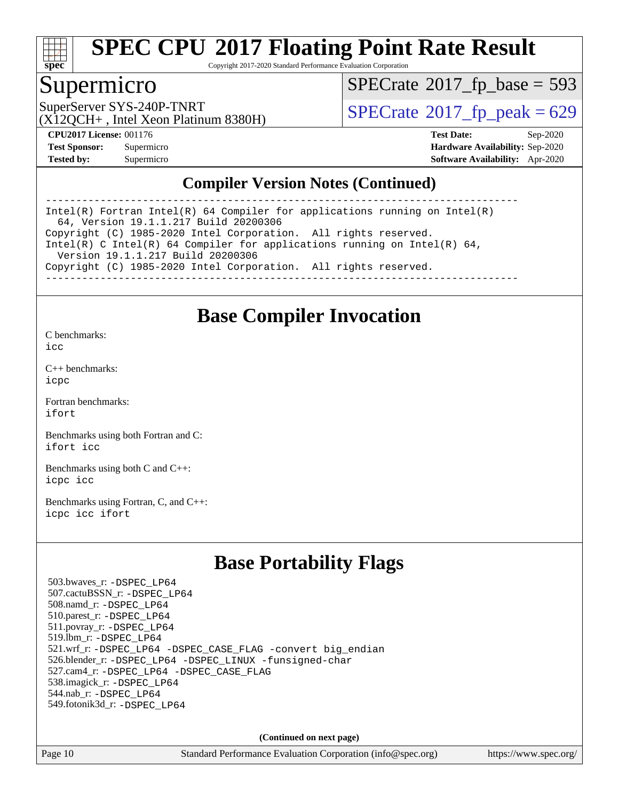

Copyright 2017-2020 Standard Performance Evaluation Corporation

### Supermicro

 $SPECTate$ <sup>®</sup>[2017\\_fp\\_base =](http://www.spec.org/auto/cpu2017/Docs/result-fields.html#SPECrate2017fpbase) 593

(X12QCH+ , Intel Xeon Platinum 8380H)

SuperServer SYS-240P-TNRT  $\begin{array}{c|c}\n\text{SuperServer SYS-240P-TNRT} & \text{SPECrate} \n\hline\n\end{array}$  $\begin{array}{c|c}\n\text{SuperServer SYS-240P-TNRT} & \text{SPECrate} \n\hline\n\end{array}$  $\begin{array}{c|c}\n\text{SuperServer SYS-240P-TNRT} & \text{SPECrate} \n\hline\n\end{array}$ 

**[CPU2017 License:](http://www.spec.org/auto/cpu2017/Docs/result-fields.html#CPU2017License)** 001176 **[Test Date:](http://www.spec.org/auto/cpu2017/Docs/result-fields.html#TestDate)** Sep-2020 **[Test Sponsor:](http://www.spec.org/auto/cpu2017/Docs/result-fields.html#TestSponsor)** Supermicro **[Hardware Availability:](http://www.spec.org/auto/cpu2017/Docs/result-fields.html#HardwareAvailability)** Sep-2020 **[Tested by:](http://www.spec.org/auto/cpu2017/Docs/result-fields.html#Testedby)** Supermicro **[Software Availability:](http://www.spec.org/auto/cpu2017/Docs/result-fields.html#SoftwareAvailability)** Apr-2020

#### **[Compiler Version Notes \(Continued\)](http://www.spec.org/auto/cpu2017/Docs/result-fields.html#CompilerVersionNotes)**

------------------------------------------------------------------------------ Intel(R) Fortran Intel(R) 64 Compiler for applications running on Intel(R) 64, Version 19.1.1.217 Build 20200306 Copyright (C) 1985-2020 Intel Corporation. All rights reserved. Intel(R) C Intel(R) 64 Compiler for applications running on Intel(R)  $64$ , Version 19.1.1.217 Build 20200306 Copyright (C) 1985-2020 Intel Corporation. All rights reserved. ------------------------------------------------------------------------------

### **[Base Compiler Invocation](http://www.spec.org/auto/cpu2017/Docs/result-fields.html#BaseCompilerInvocation)**

[C benchmarks](http://www.spec.org/auto/cpu2017/Docs/result-fields.html#Cbenchmarks):  $i$ cc

[C++ benchmarks:](http://www.spec.org/auto/cpu2017/Docs/result-fields.html#CXXbenchmarks) [icpc](http://www.spec.org/cpu2017/results/res2020q4/cpu2017-20200929-24139.flags.html#user_CXXbase_intel_icpc_c510b6838c7f56d33e37e94d029a35b4a7bccf4766a728ee175e80a419847e808290a9b78be685c44ab727ea267ec2f070ec5dc83b407c0218cded6866a35d07)

[Fortran benchmarks](http://www.spec.org/auto/cpu2017/Docs/result-fields.html#Fortranbenchmarks): [ifort](http://www.spec.org/cpu2017/results/res2020q4/cpu2017-20200929-24139.flags.html#user_FCbase_intel_ifort_8111460550e3ca792625aed983ce982f94888b8b503583aa7ba2b8303487b4d8a21a13e7191a45c5fd58ff318f48f9492884d4413fa793fd88dd292cad7027ca)

[Benchmarks using both Fortran and C](http://www.spec.org/auto/cpu2017/Docs/result-fields.html#BenchmarksusingbothFortranandC): [ifort](http://www.spec.org/cpu2017/results/res2020q4/cpu2017-20200929-24139.flags.html#user_CC_FCbase_intel_ifort_8111460550e3ca792625aed983ce982f94888b8b503583aa7ba2b8303487b4d8a21a13e7191a45c5fd58ff318f48f9492884d4413fa793fd88dd292cad7027ca) [icc](http://www.spec.org/cpu2017/results/res2020q4/cpu2017-20200929-24139.flags.html#user_CC_FCbase_intel_icc_66fc1ee009f7361af1fbd72ca7dcefbb700085f36577c54f309893dd4ec40d12360134090235512931783d35fd58c0460139e722d5067c5574d8eaf2b3e37e92)

[Benchmarks using both C and C++](http://www.spec.org/auto/cpu2017/Docs/result-fields.html#BenchmarksusingbothCandCXX): [icpc](http://www.spec.org/cpu2017/results/res2020q4/cpu2017-20200929-24139.flags.html#user_CC_CXXbase_intel_icpc_c510b6838c7f56d33e37e94d029a35b4a7bccf4766a728ee175e80a419847e808290a9b78be685c44ab727ea267ec2f070ec5dc83b407c0218cded6866a35d07) [icc](http://www.spec.org/cpu2017/results/res2020q4/cpu2017-20200929-24139.flags.html#user_CC_CXXbase_intel_icc_66fc1ee009f7361af1fbd72ca7dcefbb700085f36577c54f309893dd4ec40d12360134090235512931783d35fd58c0460139e722d5067c5574d8eaf2b3e37e92)

[Benchmarks using Fortran, C, and C++:](http://www.spec.org/auto/cpu2017/Docs/result-fields.html#BenchmarksusingFortranCandCXX) [icpc](http://www.spec.org/cpu2017/results/res2020q4/cpu2017-20200929-24139.flags.html#user_CC_CXX_FCbase_intel_icpc_c510b6838c7f56d33e37e94d029a35b4a7bccf4766a728ee175e80a419847e808290a9b78be685c44ab727ea267ec2f070ec5dc83b407c0218cded6866a35d07) [icc](http://www.spec.org/cpu2017/results/res2020q4/cpu2017-20200929-24139.flags.html#user_CC_CXX_FCbase_intel_icc_66fc1ee009f7361af1fbd72ca7dcefbb700085f36577c54f309893dd4ec40d12360134090235512931783d35fd58c0460139e722d5067c5574d8eaf2b3e37e92) [ifort](http://www.spec.org/cpu2017/results/res2020q4/cpu2017-20200929-24139.flags.html#user_CC_CXX_FCbase_intel_ifort_8111460550e3ca792625aed983ce982f94888b8b503583aa7ba2b8303487b4d8a21a13e7191a45c5fd58ff318f48f9492884d4413fa793fd88dd292cad7027ca)

## **[Base Portability Flags](http://www.spec.org/auto/cpu2017/Docs/result-fields.html#BasePortabilityFlags)**

 503.bwaves\_r: [-DSPEC\\_LP64](http://www.spec.org/cpu2017/results/res2020q4/cpu2017-20200929-24139.flags.html#suite_basePORTABILITY503_bwaves_r_DSPEC_LP64) 507.cactuBSSN\_r: [-DSPEC\\_LP64](http://www.spec.org/cpu2017/results/res2020q4/cpu2017-20200929-24139.flags.html#suite_basePORTABILITY507_cactuBSSN_r_DSPEC_LP64) 508.namd\_r: [-DSPEC\\_LP64](http://www.spec.org/cpu2017/results/res2020q4/cpu2017-20200929-24139.flags.html#suite_basePORTABILITY508_namd_r_DSPEC_LP64) 510.parest\_r: [-DSPEC\\_LP64](http://www.spec.org/cpu2017/results/res2020q4/cpu2017-20200929-24139.flags.html#suite_basePORTABILITY510_parest_r_DSPEC_LP64) 511.povray\_r: [-DSPEC\\_LP64](http://www.spec.org/cpu2017/results/res2020q4/cpu2017-20200929-24139.flags.html#suite_basePORTABILITY511_povray_r_DSPEC_LP64) 519.lbm\_r: [-DSPEC\\_LP64](http://www.spec.org/cpu2017/results/res2020q4/cpu2017-20200929-24139.flags.html#suite_basePORTABILITY519_lbm_r_DSPEC_LP64) 521.wrf\_r: [-DSPEC\\_LP64](http://www.spec.org/cpu2017/results/res2020q4/cpu2017-20200929-24139.flags.html#suite_basePORTABILITY521_wrf_r_DSPEC_LP64) [-DSPEC\\_CASE\\_FLAG](http://www.spec.org/cpu2017/results/res2020q4/cpu2017-20200929-24139.flags.html#b521.wrf_r_baseCPORTABILITY_DSPEC_CASE_FLAG) [-convert big\\_endian](http://www.spec.org/cpu2017/results/res2020q4/cpu2017-20200929-24139.flags.html#user_baseFPORTABILITY521_wrf_r_convert_big_endian_c3194028bc08c63ac5d04de18c48ce6d347e4e562e8892b8bdbdc0214820426deb8554edfa529a3fb25a586e65a3d812c835984020483e7e73212c4d31a38223) 526.blender\_r: [-DSPEC\\_LP64](http://www.spec.org/cpu2017/results/res2020q4/cpu2017-20200929-24139.flags.html#suite_basePORTABILITY526_blender_r_DSPEC_LP64) [-DSPEC\\_LINUX](http://www.spec.org/cpu2017/results/res2020q4/cpu2017-20200929-24139.flags.html#b526.blender_r_baseCPORTABILITY_DSPEC_LINUX) [-funsigned-char](http://www.spec.org/cpu2017/results/res2020q4/cpu2017-20200929-24139.flags.html#user_baseCPORTABILITY526_blender_r_force_uchar_40c60f00ab013830e2dd6774aeded3ff59883ba5a1fc5fc14077f794d777847726e2a5858cbc7672e36e1b067e7e5c1d9a74f7176df07886a243d7cc18edfe67) 527.cam4\_r: [-DSPEC\\_LP64](http://www.spec.org/cpu2017/results/res2020q4/cpu2017-20200929-24139.flags.html#suite_basePORTABILITY527_cam4_r_DSPEC_LP64) [-DSPEC\\_CASE\\_FLAG](http://www.spec.org/cpu2017/results/res2020q4/cpu2017-20200929-24139.flags.html#b527.cam4_r_baseCPORTABILITY_DSPEC_CASE_FLAG) 538.imagick\_r: [-DSPEC\\_LP64](http://www.spec.org/cpu2017/results/res2020q4/cpu2017-20200929-24139.flags.html#suite_basePORTABILITY538_imagick_r_DSPEC_LP64) 544.nab\_r: [-DSPEC\\_LP64](http://www.spec.org/cpu2017/results/res2020q4/cpu2017-20200929-24139.flags.html#suite_basePORTABILITY544_nab_r_DSPEC_LP64) 549.fotonik3d\_r: [-DSPEC\\_LP64](http://www.spec.org/cpu2017/results/res2020q4/cpu2017-20200929-24139.flags.html#suite_basePORTABILITY549_fotonik3d_r_DSPEC_LP64)

**(Continued on next page)**

Page 10 Standard Performance Evaluation Corporation [\(info@spec.org\)](mailto:info@spec.org) <https://www.spec.org/>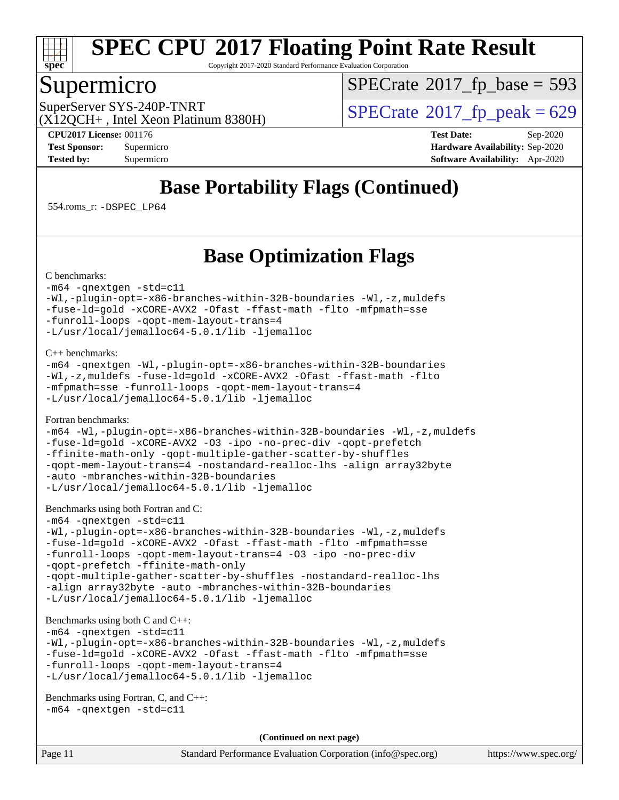

Copyright 2017-2020 Standard Performance Evaluation Corporation

### Supermicro

 $SPECTate$ <sup>®</sup>[2017\\_fp\\_base =](http://www.spec.org/auto/cpu2017/Docs/result-fields.html#SPECrate2017fpbase) 593

(X12QCH+ , Intel Xeon Platinum 8380H)

SuperServer SYS-240P-TNRT  $\begin{array}{c|c}\n\text{SuperServer SYS-240P-TNRT} & \text{SPECrate} \textcirc 2017\_fp\_peak = 629\n\end{array}$  $\begin{array}{c|c}\n\text{SuperServer SYS-240P-TNRT} & \text{SPECrate} \textcirc 2017\_fp\_peak = 629\n\end{array}$  $\begin{array}{c|c}\n\text{SuperServer SYS-240P-TNRT} & \text{SPECrate} \textcirc 2017\_fp\_peak = 629\n\end{array}$ 

**[CPU2017 License:](http://www.spec.org/auto/cpu2017/Docs/result-fields.html#CPU2017License)** 001176 **[Test Date:](http://www.spec.org/auto/cpu2017/Docs/result-fields.html#TestDate)** Sep-2020 **[Test Sponsor:](http://www.spec.org/auto/cpu2017/Docs/result-fields.html#TestSponsor)** Supermicro **[Hardware Availability:](http://www.spec.org/auto/cpu2017/Docs/result-fields.html#HardwareAvailability)** Sep-2020 **[Tested by:](http://www.spec.org/auto/cpu2017/Docs/result-fields.html#Testedby)** Supermicro **[Software Availability:](http://www.spec.org/auto/cpu2017/Docs/result-fields.html#SoftwareAvailability)** Apr-2020

## **[Base Portability Flags \(Continued\)](http://www.spec.org/auto/cpu2017/Docs/result-fields.html#BasePortabilityFlags)**

554.roms\_r: [-DSPEC\\_LP64](http://www.spec.org/cpu2017/results/res2020q4/cpu2017-20200929-24139.flags.html#suite_basePORTABILITY554_roms_r_DSPEC_LP64)

## **[Base Optimization Flags](http://www.spec.org/auto/cpu2017/Docs/result-fields.html#BaseOptimizationFlags)**

[C benchmarks](http://www.spec.org/auto/cpu2017/Docs/result-fields.html#Cbenchmarks):

[-m64](http://www.spec.org/cpu2017/results/res2020q4/cpu2017-20200929-24139.flags.html#user_CCbase_m64-icc) [-qnextgen](http://www.spec.org/cpu2017/results/res2020q4/cpu2017-20200929-24139.flags.html#user_CCbase_f-qnextgen) [-std=c11](http://www.spec.org/cpu2017/results/res2020q4/cpu2017-20200929-24139.flags.html#user_CCbase_std-icc-std_0e1c27790398a4642dfca32ffe6c27b5796f9c2d2676156f2e42c9c44eaad0c049b1cdb667a270c34d979996257aeb8fc440bfb01818dbc9357bd9d174cb8524) [-Wl,-plugin-opt=-x86-branches-within-32B-boundaries](http://www.spec.org/cpu2017/results/res2020q4/cpu2017-20200929-24139.flags.html#user_CCbase_f-x86-branches-within-32B-boundaries_0098b4e4317ae60947b7b728078a624952a08ac37a3c797dfb4ffeb399e0c61a9dd0f2f44ce917e9361fb9076ccb15e7824594512dd315205382d84209e912f3) [-Wl,-z,muldefs](http://www.spec.org/cpu2017/results/res2020q4/cpu2017-20200929-24139.flags.html#user_CCbase_link_force_multiple1_b4cbdb97b34bdee9ceefcfe54f4c8ea74255f0b02a4b23e853cdb0e18eb4525ac79b5a88067c842dd0ee6996c24547a27a4b99331201badda8798ef8a743f577) [-fuse-ld=gold](http://www.spec.org/cpu2017/results/res2020q4/cpu2017-20200929-24139.flags.html#user_CCbase_f-fuse-ld_920b3586e2b8c6e0748b9c84fa9b744736ba725a32cab14ad8f3d4ad28eecb2f59d1144823d2e17006539a88734fe1fc08fc3035f7676166309105a78aaabc32) [-xCORE-AVX2](http://www.spec.org/cpu2017/results/res2020q4/cpu2017-20200929-24139.flags.html#user_CCbase_f-xCORE-AVX2) [-Ofast](http://www.spec.org/cpu2017/results/res2020q4/cpu2017-20200929-24139.flags.html#user_CCbase_f-Ofast) [-ffast-math](http://www.spec.org/cpu2017/results/res2020q4/cpu2017-20200929-24139.flags.html#user_CCbase_f-ffast-math) [-flto](http://www.spec.org/cpu2017/results/res2020q4/cpu2017-20200929-24139.flags.html#user_CCbase_f-flto) [-mfpmath=sse](http://www.spec.org/cpu2017/results/res2020q4/cpu2017-20200929-24139.flags.html#user_CCbase_f-mfpmath_70eb8fac26bde974f8ab713bc9086c5621c0b8d2f6c86f38af0bd7062540daf19db5f3a066d8c6684be05d84c9b6322eb3b5be6619d967835195b93d6c02afa1) [-funroll-loops](http://www.spec.org/cpu2017/results/res2020q4/cpu2017-20200929-24139.flags.html#user_CCbase_f-funroll-loops) [-qopt-mem-layout-trans=4](http://www.spec.org/cpu2017/results/res2020q4/cpu2017-20200929-24139.flags.html#user_CCbase_f-qopt-mem-layout-trans_fa39e755916c150a61361b7846f310bcdf6f04e385ef281cadf3647acec3f0ae266d1a1d22d972a7087a248fd4e6ca390a3634700869573d231a252c784941a8) [-L/usr/local/jemalloc64-5.0.1/lib](http://www.spec.org/cpu2017/results/res2020q4/cpu2017-20200929-24139.flags.html#user_CCbase_jemalloc_link_path64_1_cc289568b1a6c0fd3b62c91b824c27fcb5af5e8098e6ad028160d21144ef1b8aef3170d2acf0bee98a8da324cfe4f67d0a3d0c4cc4673d993d694dc2a0df248b) [-ljemalloc](http://www.spec.org/cpu2017/results/res2020q4/cpu2017-20200929-24139.flags.html#user_CCbase_jemalloc_link_lib_d1249b907c500fa1c0672f44f562e3d0f79738ae9e3c4a9c376d49f265a04b9c99b167ecedbf6711b3085be911c67ff61f150a17b3472be731631ba4d0471706)

[C++ benchmarks:](http://www.spec.org/auto/cpu2017/Docs/result-fields.html#CXXbenchmarks)

```
-m64 -qnextgen -Wl,-plugin-opt=-x86-branches-within-32B-boundaries
-Wl,-z,muldefs -fuse-ld=gold -xCORE-AVX2 -Ofast -ffast-math -flto
-mfpmath=sse -funroll-loops -qopt-mem-layout-trans=4
-L/usr/local/jemalloc64-5.0.1/lib -ljemalloc
```
[Fortran benchmarks](http://www.spec.org/auto/cpu2017/Docs/result-fields.html#Fortranbenchmarks):

```
-m64 -Wl,-plugin-opt=-x86-branches-within-32B-boundaries -Wl,-z,muldefs
-fuse-ld=gold -xCORE-AVX2 -O3 -ipo -no-prec-div -qopt-prefetch
-ffinite-math-only -qopt-multiple-gather-scatter-by-shuffles
-qopt-mem-layout-trans=4 -nostandard-realloc-lhs -align array32byte
-auto -mbranches-within-32B-boundaries
-L/usr/local/jemalloc64-5.0.1/lib -ljemalloc
```
[Benchmarks using both Fortran and C](http://www.spec.org/auto/cpu2017/Docs/result-fields.html#BenchmarksusingbothFortranandC):

```
-m64 -qnextgen -std=c11
-Wl,-plugin-opt=-x86-branches-within-32B-boundaries -Wl,-z,muldefs
-fuse-ld=gold -xCORE-AVX2 -Ofast -ffast-math -flto -mfpmath=sse
-funroll-loops -qopt-mem-layout-trans=4 -O3 -ipo -no-prec-div
-qopt-prefetch -ffinite-math-only
-qopt-multiple-gather-scatter-by-shuffles -nostandard-realloc-lhs
-align array32byte -auto -mbranches-within-32B-boundaries
-L/usr/local/jemalloc64-5.0.1/lib -ljemalloc
```
[Benchmarks using both C and C++](http://www.spec.org/auto/cpu2017/Docs/result-fields.html#BenchmarksusingbothCandCXX):

```
-m64 -qnextgen -std=c11
-Wl,-plugin-opt=-x86-branches-within-32B-boundaries -Wl,-z,muldefs
-fuse-ld=gold -xCORE-AVX2 -Ofast -ffast-math -flto -mfpmath=sse
-funroll-loops -qopt-mem-layout-trans=4
-L/usr/local/jemalloc64-5.0.1/lib -ljemalloc
```

```
Benchmarks using Fortran, C, and C++: 
-m64 -qnextgen -std=c11
```
**(Continued on next page)**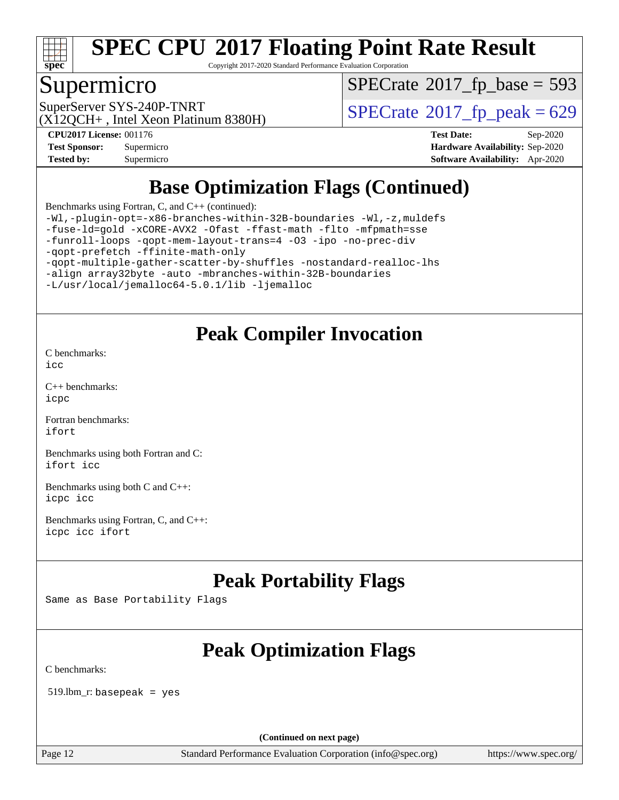

Copyright 2017-2020 Standard Performance Evaluation Corporation

### Supermicro

 $SPECTate$ <sup>®</sup>[2017\\_fp\\_base =](http://www.spec.org/auto/cpu2017/Docs/result-fields.html#SPECrate2017fpbase) 593

(X12QCH+ , Intel Xeon Platinum 8380H)

SuperServer SYS-240P-TNRT  $\begin{array}{c|c}\n\text{SuperServer SYS-240P-TNRT} & \text{SPECrate} \n\hline\n\end{array}$  $\begin{array}{c|c}\n\text{SuperServer SYS-240P-TNRT} & \text{SPECrate} \n\hline\n\end{array}$  $\begin{array}{c|c}\n\text{SuperServer SYS-240P-TNRT} & \text{SPECrate} \n\hline\n\end{array}$ 

**[Tested by:](http://www.spec.org/auto/cpu2017/Docs/result-fields.html#Testedby)** Supermicro **[Software Availability:](http://www.spec.org/auto/cpu2017/Docs/result-fields.html#SoftwareAvailability)** Apr-2020

**[CPU2017 License:](http://www.spec.org/auto/cpu2017/Docs/result-fields.html#CPU2017License)** 001176 **[Test Date:](http://www.spec.org/auto/cpu2017/Docs/result-fields.html#TestDate)** Sep-2020 **[Test Sponsor:](http://www.spec.org/auto/cpu2017/Docs/result-fields.html#TestSponsor)** Supermicro **[Hardware Availability:](http://www.spec.org/auto/cpu2017/Docs/result-fields.html#HardwareAvailability)** Sep-2020

## **[Base Optimization Flags \(Continued\)](http://www.spec.org/auto/cpu2017/Docs/result-fields.html#BaseOptimizationFlags)**

[Benchmarks using Fortran, C, and C++](http://www.spec.org/auto/cpu2017/Docs/result-fields.html#BenchmarksusingFortranCandCXX) (continued):

[-Wl,-plugin-opt=-x86-branches-within-32B-boundaries](http://www.spec.org/cpu2017/results/res2020q4/cpu2017-20200929-24139.flags.html#user_CC_CXX_FCbase_f-x86-branches-within-32B-boundaries_0098b4e4317ae60947b7b728078a624952a08ac37a3c797dfb4ffeb399e0c61a9dd0f2f44ce917e9361fb9076ccb15e7824594512dd315205382d84209e912f3) [-Wl,-z,muldefs](http://www.spec.org/cpu2017/results/res2020q4/cpu2017-20200929-24139.flags.html#user_CC_CXX_FCbase_link_force_multiple1_b4cbdb97b34bdee9ceefcfe54f4c8ea74255f0b02a4b23e853cdb0e18eb4525ac79b5a88067c842dd0ee6996c24547a27a4b99331201badda8798ef8a743f577) [-fuse-ld=gold](http://www.spec.org/cpu2017/results/res2020q4/cpu2017-20200929-24139.flags.html#user_CC_CXX_FCbase_f-fuse-ld_920b3586e2b8c6e0748b9c84fa9b744736ba725a32cab14ad8f3d4ad28eecb2f59d1144823d2e17006539a88734fe1fc08fc3035f7676166309105a78aaabc32) [-xCORE-AVX2](http://www.spec.org/cpu2017/results/res2020q4/cpu2017-20200929-24139.flags.html#user_CC_CXX_FCbase_f-xCORE-AVX2) [-Ofast](http://www.spec.org/cpu2017/results/res2020q4/cpu2017-20200929-24139.flags.html#user_CC_CXX_FCbase_f-Ofast) [-ffast-math](http://www.spec.org/cpu2017/results/res2020q4/cpu2017-20200929-24139.flags.html#user_CC_CXX_FCbase_f-ffast-math) [-flto](http://www.spec.org/cpu2017/results/res2020q4/cpu2017-20200929-24139.flags.html#user_CC_CXX_FCbase_f-flto) [-mfpmath=sse](http://www.spec.org/cpu2017/results/res2020q4/cpu2017-20200929-24139.flags.html#user_CC_CXX_FCbase_f-mfpmath_70eb8fac26bde974f8ab713bc9086c5621c0b8d2f6c86f38af0bd7062540daf19db5f3a066d8c6684be05d84c9b6322eb3b5be6619d967835195b93d6c02afa1) [-funroll-loops](http://www.spec.org/cpu2017/results/res2020q4/cpu2017-20200929-24139.flags.html#user_CC_CXX_FCbase_f-funroll-loops) [-qopt-mem-layout-trans=4](http://www.spec.org/cpu2017/results/res2020q4/cpu2017-20200929-24139.flags.html#user_CC_CXX_FCbase_f-qopt-mem-layout-trans_fa39e755916c150a61361b7846f310bcdf6f04e385ef281cadf3647acec3f0ae266d1a1d22d972a7087a248fd4e6ca390a3634700869573d231a252c784941a8) [-O3](http://www.spec.org/cpu2017/results/res2020q4/cpu2017-20200929-24139.flags.html#user_CC_CXX_FCbase_f-O3) [-ipo](http://www.spec.org/cpu2017/results/res2020q4/cpu2017-20200929-24139.flags.html#user_CC_CXX_FCbase_f-ipo) [-no-prec-div](http://www.spec.org/cpu2017/results/res2020q4/cpu2017-20200929-24139.flags.html#user_CC_CXX_FCbase_f-no-prec-div) [-qopt-prefetch](http://www.spec.org/cpu2017/results/res2020q4/cpu2017-20200929-24139.flags.html#user_CC_CXX_FCbase_f-qopt-prefetch) [-ffinite-math-only](http://www.spec.org/cpu2017/results/res2020q4/cpu2017-20200929-24139.flags.html#user_CC_CXX_FCbase_f_finite_math_only_cb91587bd2077682c4b38af759c288ed7c732db004271a9512da14a4f8007909a5f1427ecbf1a0fb78ff2a814402c6114ac565ca162485bbcae155b5e4258871) [-qopt-multiple-gather-scatter-by-shuffles](http://www.spec.org/cpu2017/results/res2020q4/cpu2017-20200929-24139.flags.html#user_CC_CXX_FCbase_f-qopt-multiple-gather-scatter-by-shuffles) [-nostandard-realloc-lhs](http://www.spec.org/cpu2017/results/res2020q4/cpu2017-20200929-24139.flags.html#user_CC_CXX_FCbase_f_2003_std_realloc_82b4557e90729c0f113870c07e44d33d6f5a304b4f63d4c15d2d0f1fab99f5daaed73bdb9275d9ae411527f28b936061aa8b9c8f2d63842963b95c9dd6426b8a) [-align array32byte](http://www.spec.org/cpu2017/results/res2020q4/cpu2017-20200929-24139.flags.html#user_CC_CXX_FCbase_align_array32byte_b982fe038af199962ba9a80c053b8342c548c85b40b8e86eb3cc33dee0d7986a4af373ac2d51c3f7cf710a18d62fdce2948f201cd044323541f22fc0fffc51b6) [-auto](http://www.spec.org/cpu2017/results/res2020q4/cpu2017-20200929-24139.flags.html#user_CC_CXX_FCbase_f-auto) [-mbranches-within-32B-boundaries](http://www.spec.org/cpu2017/results/res2020q4/cpu2017-20200929-24139.flags.html#user_CC_CXX_FCbase_f-mbranches-within-32B-boundaries) [-L/usr/local/jemalloc64-5.0.1/lib](http://www.spec.org/cpu2017/results/res2020q4/cpu2017-20200929-24139.flags.html#user_CC_CXX_FCbase_jemalloc_link_path64_1_cc289568b1a6c0fd3b62c91b824c27fcb5af5e8098e6ad028160d21144ef1b8aef3170d2acf0bee98a8da324cfe4f67d0a3d0c4cc4673d993d694dc2a0df248b) [-ljemalloc](http://www.spec.org/cpu2017/results/res2020q4/cpu2017-20200929-24139.flags.html#user_CC_CXX_FCbase_jemalloc_link_lib_d1249b907c500fa1c0672f44f562e3d0f79738ae9e3c4a9c376d49f265a04b9c99b167ecedbf6711b3085be911c67ff61f150a17b3472be731631ba4d0471706)

## **[Peak Compiler Invocation](http://www.spec.org/auto/cpu2017/Docs/result-fields.html#PeakCompilerInvocation)**

[C benchmarks](http://www.spec.org/auto/cpu2017/Docs/result-fields.html#Cbenchmarks): [icc](http://www.spec.org/cpu2017/results/res2020q4/cpu2017-20200929-24139.flags.html#user_CCpeak_intel_icc_66fc1ee009f7361af1fbd72ca7dcefbb700085f36577c54f309893dd4ec40d12360134090235512931783d35fd58c0460139e722d5067c5574d8eaf2b3e37e92)

[C++ benchmarks:](http://www.spec.org/auto/cpu2017/Docs/result-fields.html#CXXbenchmarks) [icpc](http://www.spec.org/cpu2017/results/res2020q4/cpu2017-20200929-24139.flags.html#user_CXXpeak_intel_icpc_c510b6838c7f56d33e37e94d029a35b4a7bccf4766a728ee175e80a419847e808290a9b78be685c44ab727ea267ec2f070ec5dc83b407c0218cded6866a35d07)

[Fortran benchmarks](http://www.spec.org/auto/cpu2017/Docs/result-fields.html#Fortranbenchmarks): [ifort](http://www.spec.org/cpu2017/results/res2020q4/cpu2017-20200929-24139.flags.html#user_FCpeak_intel_ifort_8111460550e3ca792625aed983ce982f94888b8b503583aa7ba2b8303487b4d8a21a13e7191a45c5fd58ff318f48f9492884d4413fa793fd88dd292cad7027ca)

[Benchmarks using both Fortran and C](http://www.spec.org/auto/cpu2017/Docs/result-fields.html#BenchmarksusingbothFortranandC): [ifort](http://www.spec.org/cpu2017/results/res2020q4/cpu2017-20200929-24139.flags.html#user_CC_FCpeak_intel_ifort_8111460550e3ca792625aed983ce982f94888b8b503583aa7ba2b8303487b4d8a21a13e7191a45c5fd58ff318f48f9492884d4413fa793fd88dd292cad7027ca) [icc](http://www.spec.org/cpu2017/results/res2020q4/cpu2017-20200929-24139.flags.html#user_CC_FCpeak_intel_icc_66fc1ee009f7361af1fbd72ca7dcefbb700085f36577c54f309893dd4ec40d12360134090235512931783d35fd58c0460139e722d5067c5574d8eaf2b3e37e92)

[Benchmarks using both C and C++](http://www.spec.org/auto/cpu2017/Docs/result-fields.html#BenchmarksusingbothCandCXX): [icpc](http://www.spec.org/cpu2017/results/res2020q4/cpu2017-20200929-24139.flags.html#user_CC_CXXpeak_intel_icpc_c510b6838c7f56d33e37e94d029a35b4a7bccf4766a728ee175e80a419847e808290a9b78be685c44ab727ea267ec2f070ec5dc83b407c0218cded6866a35d07) [icc](http://www.spec.org/cpu2017/results/res2020q4/cpu2017-20200929-24139.flags.html#user_CC_CXXpeak_intel_icc_66fc1ee009f7361af1fbd72ca7dcefbb700085f36577c54f309893dd4ec40d12360134090235512931783d35fd58c0460139e722d5067c5574d8eaf2b3e37e92)

[Benchmarks using Fortran, C, and C++:](http://www.spec.org/auto/cpu2017/Docs/result-fields.html#BenchmarksusingFortranCandCXX) [icpc](http://www.spec.org/cpu2017/results/res2020q4/cpu2017-20200929-24139.flags.html#user_CC_CXX_FCpeak_intel_icpc_c510b6838c7f56d33e37e94d029a35b4a7bccf4766a728ee175e80a419847e808290a9b78be685c44ab727ea267ec2f070ec5dc83b407c0218cded6866a35d07) [icc](http://www.spec.org/cpu2017/results/res2020q4/cpu2017-20200929-24139.flags.html#user_CC_CXX_FCpeak_intel_icc_66fc1ee009f7361af1fbd72ca7dcefbb700085f36577c54f309893dd4ec40d12360134090235512931783d35fd58c0460139e722d5067c5574d8eaf2b3e37e92) [ifort](http://www.spec.org/cpu2017/results/res2020q4/cpu2017-20200929-24139.flags.html#user_CC_CXX_FCpeak_intel_ifort_8111460550e3ca792625aed983ce982f94888b8b503583aa7ba2b8303487b4d8a21a13e7191a45c5fd58ff318f48f9492884d4413fa793fd88dd292cad7027ca)

## **[Peak Portability Flags](http://www.spec.org/auto/cpu2017/Docs/result-fields.html#PeakPortabilityFlags)**

Same as Base Portability Flags

## **[Peak Optimization Flags](http://www.spec.org/auto/cpu2017/Docs/result-fields.html#PeakOptimizationFlags)**

[C benchmarks](http://www.spec.org/auto/cpu2017/Docs/result-fields.html#Cbenchmarks):

519.lbm\_r: basepeak = yes

**(Continued on next page)**

Page 12 Standard Performance Evaluation Corporation [\(info@spec.org\)](mailto:info@spec.org) <https://www.spec.org/>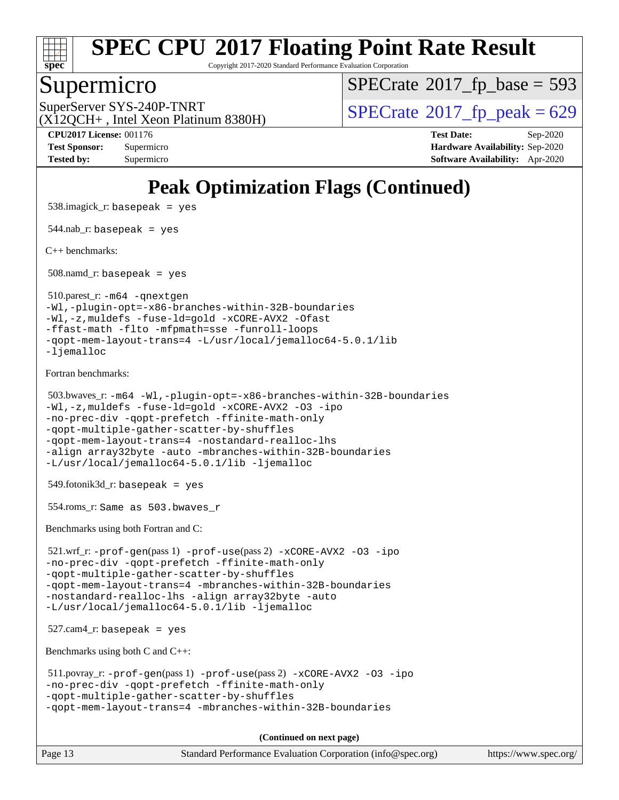

Copyright 2017-2020 Standard Performance Evaluation Corporation

### Supermicro

 $SPECTate$ <sup>®</sup>[2017\\_fp\\_base =](http://www.spec.org/auto/cpu2017/Docs/result-fields.html#SPECrate2017fpbase) 593

(X12QCH+ , Intel Xeon Platinum 8380H)

SuperServer SYS-240P-TNRT  $\begin{array}{c|c}\n\text{SuperServer SYS-240P-TNRT} & \text{SPECrate} \n\hline\n\end{array}$  $\begin{array}{c|c}\n\text{SuperServer SYS-240P-TNRT} & \text{SPECrate} \n\hline\n\end{array}$  $\begin{array}{c|c}\n\text{SuperServer SYS-240P-TNRT} & \text{SPECrate} \n\hline\n\end{array}$ 

**[CPU2017 License:](http://www.spec.org/auto/cpu2017/Docs/result-fields.html#CPU2017License)** 001176 **[Test Date:](http://www.spec.org/auto/cpu2017/Docs/result-fields.html#TestDate)** Sep-2020 **[Test Sponsor:](http://www.spec.org/auto/cpu2017/Docs/result-fields.html#TestSponsor)** Supermicro **[Hardware Availability:](http://www.spec.org/auto/cpu2017/Docs/result-fields.html#HardwareAvailability)** Sep-2020 **[Tested by:](http://www.spec.org/auto/cpu2017/Docs/result-fields.html#Testedby)** Supermicro **[Software Availability:](http://www.spec.org/auto/cpu2017/Docs/result-fields.html#SoftwareAvailability)** Apr-2020

## **[Peak Optimization Flags \(Continued\)](http://www.spec.org/auto/cpu2017/Docs/result-fields.html#PeakOptimizationFlags)**

 538.imagick\_r: basepeak = yes 544.nab  $r:$  basepeak = yes [C++ benchmarks:](http://www.spec.org/auto/cpu2017/Docs/result-fields.html#CXXbenchmarks) 508.namd\_r: basepeak = yes 510.parest\_r: [-m64](http://www.spec.org/cpu2017/results/res2020q4/cpu2017-20200929-24139.flags.html#user_peakCXXLD510_parest_r_m64-icc) [-qnextgen](http://www.spec.org/cpu2017/results/res2020q4/cpu2017-20200929-24139.flags.html#user_peakCXXLD510_parest_r_f-qnextgen) [-Wl,-plugin-opt=-x86-branches-within-32B-boundaries](http://www.spec.org/cpu2017/results/res2020q4/cpu2017-20200929-24139.flags.html#user_peakLDFLAGS510_parest_r_f-x86-branches-within-32B-boundaries_0098b4e4317ae60947b7b728078a624952a08ac37a3c797dfb4ffeb399e0c61a9dd0f2f44ce917e9361fb9076ccb15e7824594512dd315205382d84209e912f3) [-Wl,-z,muldefs](http://www.spec.org/cpu2017/results/res2020q4/cpu2017-20200929-24139.flags.html#user_peakEXTRA_LDFLAGS510_parest_r_link_force_multiple1_b4cbdb97b34bdee9ceefcfe54f4c8ea74255f0b02a4b23e853cdb0e18eb4525ac79b5a88067c842dd0ee6996c24547a27a4b99331201badda8798ef8a743f577) [-fuse-ld=gold](http://www.spec.org/cpu2017/results/res2020q4/cpu2017-20200929-24139.flags.html#user_peakEXTRA_LDFLAGS510_parest_r_f-fuse-ld_920b3586e2b8c6e0748b9c84fa9b744736ba725a32cab14ad8f3d4ad28eecb2f59d1144823d2e17006539a88734fe1fc08fc3035f7676166309105a78aaabc32) [-xCORE-AVX2](http://www.spec.org/cpu2017/results/res2020q4/cpu2017-20200929-24139.flags.html#user_peakCXXOPTIMIZE510_parest_r_f-xCORE-AVX2) [-Ofast](http://www.spec.org/cpu2017/results/res2020q4/cpu2017-20200929-24139.flags.html#user_peakCXXOPTIMIZE510_parest_r_f-Ofast) [-ffast-math](http://www.spec.org/cpu2017/results/res2020q4/cpu2017-20200929-24139.flags.html#user_peakCXXOPTIMIZE510_parest_r_f-ffast-math) [-flto](http://www.spec.org/cpu2017/results/res2020q4/cpu2017-20200929-24139.flags.html#user_peakCXXOPTIMIZE510_parest_r_f-flto) [-mfpmath=sse](http://www.spec.org/cpu2017/results/res2020q4/cpu2017-20200929-24139.flags.html#user_peakCXXOPTIMIZE510_parest_r_f-mfpmath_70eb8fac26bde974f8ab713bc9086c5621c0b8d2f6c86f38af0bd7062540daf19db5f3a066d8c6684be05d84c9b6322eb3b5be6619d967835195b93d6c02afa1) [-funroll-loops](http://www.spec.org/cpu2017/results/res2020q4/cpu2017-20200929-24139.flags.html#user_peakCXXOPTIMIZE510_parest_r_f-funroll-loops) [-qopt-mem-layout-trans=4](http://www.spec.org/cpu2017/results/res2020q4/cpu2017-20200929-24139.flags.html#user_peakCXXOPTIMIZE510_parest_r_f-qopt-mem-layout-trans_fa39e755916c150a61361b7846f310bcdf6f04e385ef281cadf3647acec3f0ae266d1a1d22d972a7087a248fd4e6ca390a3634700869573d231a252c784941a8) [-L/usr/local/jemalloc64-5.0.1/lib](http://www.spec.org/cpu2017/results/res2020q4/cpu2017-20200929-24139.flags.html#user_peakEXTRA_LIBS510_parest_r_jemalloc_link_path64_1_cc289568b1a6c0fd3b62c91b824c27fcb5af5e8098e6ad028160d21144ef1b8aef3170d2acf0bee98a8da324cfe4f67d0a3d0c4cc4673d993d694dc2a0df248b) [-ljemalloc](http://www.spec.org/cpu2017/results/res2020q4/cpu2017-20200929-24139.flags.html#user_peakEXTRA_LIBS510_parest_r_jemalloc_link_lib_d1249b907c500fa1c0672f44f562e3d0f79738ae9e3c4a9c376d49f265a04b9c99b167ecedbf6711b3085be911c67ff61f150a17b3472be731631ba4d0471706) [Fortran benchmarks](http://www.spec.org/auto/cpu2017/Docs/result-fields.html#Fortranbenchmarks): 503.bwaves\_r: [-m64](http://www.spec.org/cpu2017/results/res2020q4/cpu2017-20200929-24139.flags.html#user_peakFCLD503_bwaves_r_m64-icc) [-Wl,-plugin-opt=-x86-branches-within-32B-boundaries](http://www.spec.org/cpu2017/results/res2020q4/cpu2017-20200929-24139.flags.html#user_peakLDFLAGS503_bwaves_r_f-x86-branches-within-32B-boundaries_0098b4e4317ae60947b7b728078a624952a08ac37a3c797dfb4ffeb399e0c61a9dd0f2f44ce917e9361fb9076ccb15e7824594512dd315205382d84209e912f3) [-Wl,-z,muldefs](http://www.spec.org/cpu2017/results/res2020q4/cpu2017-20200929-24139.flags.html#user_peakEXTRA_LDFLAGS503_bwaves_r_link_force_multiple1_b4cbdb97b34bdee9ceefcfe54f4c8ea74255f0b02a4b23e853cdb0e18eb4525ac79b5a88067c842dd0ee6996c24547a27a4b99331201badda8798ef8a743f577) [-fuse-ld=gold](http://www.spec.org/cpu2017/results/res2020q4/cpu2017-20200929-24139.flags.html#user_peakEXTRA_LDFLAGS503_bwaves_r_f-fuse-ld_920b3586e2b8c6e0748b9c84fa9b744736ba725a32cab14ad8f3d4ad28eecb2f59d1144823d2e17006539a88734fe1fc08fc3035f7676166309105a78aaabc32) [-xCORE-AVX2](http://www.spec.org/cpu2017/results/res2020q4/cpu2017-20200929-24139.flags.html#user_peakFOPTIMIZE503_bwaves_r_f-xCORE-AVX2) [-O3](http://www.spec.org/cpu2017/results/res2020q4/cpu2017-20200929-24139.flags.html#user_peakFOPTIMIZE503_bwaves_r_f-O3) [-ipo](http://www.spec.org/cpu2017/results/res2020q4/cpu2017-20200929-24139.flags.html#user_peakFOPTIMIZE503_bwaves_r_f-ipo) [-no-prec-div](http://www.spec.org/cpu2017/results/res2020q4/cpu2017-20200929-24139.flags.html#user_peakFOPTIMIZE503_bwaves_r_f-no-prec-div) [-qopt-prefetch](http://www.spec.org/cpu2017/results/res2020q4/cpu2017-20200929-24139.flags.html#user_peakFOPTIMIZE503_bwaves_r_f-qopt-prefetch) [-ffinite-math-only](http://www.spec.org/cpu2017/results/res2020q4/cpu2017-20200929-24139.flags.html#user_peakFOPTIMIZE503_bwaves_r_f_finite_math_only_cb91587bd2077682c4b38af759c288ed7c732db004271a9512da14a4f8007909a5f1427ecbf1a0fb78ff2a814402c6114ac565ca162485bbcae155b5e4258871) [-qopt-multiple-gather-scatter-by-shuffles](http://www.spec.org/cpu2017/results/res2020q4/cpu2017-20200929-24139.flags.html#user_peakFOPTIMIZE503_bwaves_r_f-qopt-multiple-gather-scatter-by-shuffles) [-qopt-mem-layout-trans=4](http://www.spec.org/cpu2017/results/res2020q4/cpu2017-20200929-24139.flags.html#user_peakFOPTIMIZE503_bwaves_r_f-qopt-mem-layout-trans_fa39e755916c150a61361b7846f310bcdf6f04e385ef281cadf3647acec3f0ae266d1a1d22d972a7087a248fd4e6ca390a3634700869573d231a252c784941a8) [-nostandard-realloc-lhs](http://www.spec.org/cpu2017/results/res2020q4/cpu2017-20200929-24139.flags.html#user_peakEXTRA_FOPTIMIZE503_bwaves_r_f_2003_std_realloc_82b4557e90729c0f113870c07e44d33d6f5a304b4f63d4c15d2d0f1fab99f5daaed73bdb9275d9ae411527f28b936061aa8b9c8f2d63842963b95c9dd6426b8a) [-align array32byte](http://www.spec.org/cpu2017/results/res2020q4/cpu2017-20200929-24139.flags.html#user_peakEXTRA_FOPTIMIZE503_bwaves_r_align_array32byte_b982fe038af199962ba9a80c053b8342c548c85b40b8e86eb3cc33dee0d7986a4af373ac2d51c3f7cf710a18d62fdce2948f201cd044323541f22fc0fffc51b6) [-auto](http://www.spec.org/cpu2017/results/res2020q4/cpu2017-20200929-24139.flags.html#user_peakEXTRA_FOPTIMIZE503_bwaves_r_f-auto) [-mbranches-within-32B-boundaries](http://www.spec.org/cpu2017/results/res2020q4/cpu2017-20200929-24139.flags.html#user_peakEXTRA_FOPTIMIZE503_bwaves_r_f-mbranches-within-32B-boundaries) [-L/usr/local/jemalloc64-5.0.1/lib](http://www.spec.org/cpu2017/results/res2020q4/cpu2017-20200929-24139.flags.html#user_peakEXTRA_LIBS503_bwaves_r_jemalloc_link_path64_1_cc289568b1a6c0fd3b62c91b824c27fcb5af5e8098e6ad028160d21144ef1b8aef3170d2acf0bee98a8da324cfe4f67d0a3d0c4cc4673d993d694dc2a0df248b) [-ljemalloc](http://www.spec.org/cpu2017/results/res2020q4/cpu2017-20200929-24139.flags.html#user_peakEXTRA_LIBS503_bwaves_r_jemalloc_link_lib_d1249b907c500fa1c0672f44f562e3d0f79738ae9e3c4a9c376d49f265a04b9c99b167ecedbf6711b3085be911c67ff61f150a17b3472be731631ba4d0471706) 549.fotonik3d\_r: basepeak = yes 554.roms\_r: Same as 503.bwaves\_r [Benchmarks using both Fortran and C](http://www.spec.org/auto/cpu2017/Docs/result-fields.html#BenchmarksusingbothFortranandC): 521.wrf\_r: [-prof-gen](http://www.spec.org/cpu2017/results/res2020q4/cpu2017-20200929-24139.flags.html#user_peakPASS1_CFLAGSPASS1_FFLAGSPASS1_LDFLAGS521_wrf_r_prof_gen_5aa4926d6013ddb2a31985c654b3eb18169fc0c6952a63635c234f711e6e63dd76e94ad52365559451ec499a2cdb89e4dc58ba4c67ef54ca681ffbe1461d6b36)(pass 1) [-prof-use](http://www.spec.org/cpu2017/results/res2020q4/cpu2017-20200929-24139.flags.html#user_peakPASS2_CFLAGSPASS2_FFLAGSPASS2_LDFLAGS521_wrf_r_prof_use_1a21ceae95f36a2b53c25747139a6c16ca95bd9def2a207b4f0849963b97e94f5260e30a0c64f4bb623698870e679ca08317ef8150905d41bd88c6f78df73f19)(pass 2) [-xCORE-AVX2](http://www.spec.org/cpu2017/results/res2020q4/cpu2017-20200929-24139.flags.html#user_peakCOPTIMIZEPASS2_COPTIMIZEPASS2_FOPTIMIZE521_wrf_r_f-xCORE-AVX2) [-O3](http://www.spec.org/cpu2017/results/res2020q4/cpu2017-20200929-24139.flags.html#user_peakCOPTIMIZEPASS1_COPTIMIZEPASS1_FOPTIMIZEPASS2_COPTIMIZEPASS2_FOPTIMIZE521_wrf_r_f-O3) [-ipo](http://www.spec.org/cpu2017/results/res2020q4/cpu2017-20200929-24139.flags.html#user_peakCOPTIMIZEPASS1_COPTIMIZEPASS1_FOPTIMIZEPASS2_COPTIMIZEPASS2_FOPTIMIZE521_wrf_r_f-ipo) [-no-prec-div](http://www.spec.org/cpu2017/results/res2020q4/cpu2017-20200929-24139.flags.html#user_peakCOPTIMIZEPASS1_COPTIMIZEPASS1_FOPTIMIZEPASS2_COPTIMIZEPASS2_FOPTIMIZE521_wrf_r_f-no-prec-div) [-qopt-prefetch](http://www.spec.org/cpu2017/results/res2020q4/cpu2017-20200929-24139.flags.html#user_peakCOPTIMIZEPASS1_COPTIMIZEPASS1_FOPTIMIZEPASS2_COPTIMIZEPASS2_FOPTIMIZE521_wrf_r_f-qopt-prefetch) [-ffinite-math-only](http://www.spec.org/cpu2017/results/res2020q4/cpu2017-20200929-24139.flags.html#user_peakCOPTIMIZEPASS1_COPTIMIZEPASS1_FOPTIMIZEPASS2_COPTIMIZEPASS2_FOPTIMIZE521_wrf_r_f_finite_math_only_cb91587bd2077682c4b38af759c288ed7c732db004271a9512da14a4f8007909a5f1427ecbf1a0fb78ff2a814402c6114ac565ca162485bbcae155b5e4258871) [-qopt-multiple-gather-scatter-by-shuffles](http://www.spec.org/cpu2017/results/res2020q4/cpu2017-20200929-24139.flags.html#user_peakCOPTIMIZEPASS1_COPTIMIZEPASS1_FOPTIMIZEPASS2_COPTIMIZEPASS2_FOPTIMIZE521_wrf_r_f-qopt-multiple-gather-scatter-by-shuffles) [-qopt-mem-layout-trans=4](http://www.spec.org/cpu2017/results/res2020q4/cpu2017-20200929-24139.flags.html#user_peakCOPTIMIZEFOPTIMIZEPASS1_COPTIMIZEPASS1_FOPTIMIZEPASS2_COPTIMIZEPASS2_FOPTIMIZE521_wrf_r_f-qopt-mem-layout-trans_fa39e755916c150a61361b7846f310bcdf6f04e385ef281cadf3647acec3f0ae266d1a1d22d972a7087a248fd4e6ca390a3634700869573d231a252c784941a8) [-mbranches-within-32B-boundaries](http://www.spec.org/cpu2017/results/res2020q4/cpu2017-20200929-24139.flags.html#user_peakEXTRA_COPTIMIZEEXTRA_FOPTIMIZE521_wrf_r_f-mbranches-within-32B-boundaries) [-nostandard-realloc-lhs](http://www.spec.org/cpu2017/results/res2020q4/cpu2017-20200929-24139.flags.html#user_peakEXTRA_FOPTIMIZE521_wrf_r_f_2003_std_realloc_82b4557e90729c0f113870c07e44d33d6f5a304b4f63d4c15d2d0f1fab99f5daaed73bdb9275d9ae411527f28b936061aa8b9c8f2d63842963b95c9dd6426b8a) [-align array32byte](http://www.spec.org/cpu2017/results/res2020q4/cpu2017-20200929-24139.flags.html#user_peakEXTRA_FOPTIMIZE521_wrf_r_align_array32byte_b982fe038af199962ba9a80c053b8342c548c85b40b8e86eb3cc33dee0d7986a4af373ac2d51c3f7cf710a18d62fdce2948f201cd044323541f22fc0fffc51b6) [-auto](http://www.spec.org/cpu2017/results/res2020q4/cpu2017-20200929-24139.flags.html#user_peakEXTRA_FOPTIMIZE521_wrf_r_f-auto) [-L/usr/local/jemalloc64-5.0.1/lib](http://www.spec.org/cpu2017/results/res2020q4/cpu2017-20200929-24139.flags.html#user_peakEXTRA_LIBS521_wrf_r_jemalloc_link_path64_1_cc289568b1a6c0fd3b62c91b824c27fcb5af5e8098e6ad028160d21144ef1b8aef3170d2acf0bee98a8da324cfe4f67d0a3d0c4cc4673d993d694dc2a0df248b) [-ljemalloc](http://www.spec.org/cpu2017/results/res2020q4/cpu2017-20200929-24139.flags.html#user_peakEXTRA_LIBS521_wrf_r_jemalloc_link_lib_d1249b907c500fa1c0672f44f562e3d0f79738ae9e3c4a9c376d49f265a04b9c99b167ecedbf6711b3085be911c67ff61f150a17b3472be731631ba4d0471706)  $527$ .cam $4$ \_r: basepeak = yes [Benchmarks using both C and C++](http://www.spec.org/auto/cpu2017/Docs/result-fields.html#BenchmarksusingbothCandCXX): 511.povray\_r: [-prof-gen](http://www.spec.org/cpu2017/results/res2020q4/cpu2017-20200929-24139.flags.html#user_peakPASS1_CFLAGSPASS1_CXXFLAGSPASS1_LDFLAGS511_povray_r_prof_gen_5aa4926d6013ddb2a31985c654b3eb18169fc0c6952a63635c234f711e6e63dd76e94ad52365559451ec499a2cdb89e4dc58ba4c67ef54ca681ffbe1461d6b36)(pass 1) [-prof-use](http://www.spec.org/cpu2017/results/res2020q4/cpu2017-20200929-24139.flags.html#user_peakPASS2_CFLAGSPASS2_CXXFLAGSPASS2_LDFLAGS511_povray_r_prof_use_1a21ceae95f36a2b53c25747139a6c16ca95bd9def2a207b4f0849963b97e94f5260e30a0c64f4bb623698870e679ca08317ef8150905d41bd88c6f78df73f19)(pass 2) [-xCORE-AVX2](http://www.spec.org/cpu2017/results/res2020q4/cpu2017-20200929-24139.flags.html#user_peakCOPTIMIZECXXOPTIMIZEPASS2_COPTIMIZEPASS2_CXXOPTIMIZE511_povray_r_f-xCORE-AVX2) [-O3](http://www.spec.org/cpu2017/results/res2020q4/cpu2017-20200929-24139.flags.html#user_peakCOPTIMIZECXXOPTIMIZEPASS1_COPTIMIZEPASS1_CXXOPTIMIZEPASS2_COPTIMIZEPASS2_CXXOPTIMIZE511_povray_r_f-O3) [-ipo](http://www.spec.org/cpu2017/results/res2020q4/cpu2017-20200929-24139.flags.html#user_peakCOPTIMIZECXXOPTIMIZEPASS1_COPTIMIZEPASS1_CXXOPTIMIZEPASS2_COPTIMIZEPASS2_CXXOPTIMIZE511_povray_r_f-ipo) [-no-prec-div](http://www.spec.org/cpu2017/results/res2020q4/cpu2017-20200929-24139.flags.html#user_peakCOPTIMIZECXXOPTIMIZEPASS1_COPTIMIZEPASS1_CXXOPTIMIZEPASS2_COPTIMIZEPASS2_CXXOPTIMIZE511_povray_r_f-no-prec-div) [-qopt-prefetch](http://www.spec.org/cpu2017/results/res2020q4/cpu2017-20200929-24139.flags.html#user_peakCOPTIMIZECXXOPTIMIZEPASS1_COPTIMIZEPASS1_CXXOPTIMIZEPASS2_COPTIMIZEPASS2_CXXOPTIMIZE511_povray_r_f-qopt-prefetch) [-ffinite-math-only](http://www.spec.org/cpu2017/results/res2020q4/cpu2017-20200929-24139.flags.html#user_peakCOPTIMIZECXXOPTIMIZEPASS1_COPTIMIZEPASS1_CXXOPTIMIZEPASS2_COPTIMIZEPASS2_CXXOPTIMIZE511_povray_r_f_finite_math_only_cb91587bd2077682c4b38af759c288ed7c732db004271a9512da14a4f8007909a5f1427ecbf1a0fb78ff2a814402c6114ac565ca162485bbcae155b5e4258871) [-qopt-multiple-gather-scatter-by-shuffles](http://www.spec.org/cpu2017/results/res2020q4/cpu2017-20200929-24139.flags.html#user_peakCOPTIMIZECXXOPTIMIZEPASS1_COPTIMIZEPASS1_CXXOPTIMIZEPASS2_COPTIMIZEPASS2_CXXOPTIMIZE511_povray_r_f-qopt-multiple-gather-scatter-by-shuffles) [-qopt-mem-layout-trans=4](http://www.spec.org/cpu2017/results/res2020q4/cpu2017-20200929-24139.flags.html#user_peakCOPTIMIZECXXOPTIMIZEPASS1_COPTIMIZEPASS1_CXXOPTIMIZEPASS2_COPTIMIZEPASS2_CXXOPTIMIZE511_povray_r_f-qopt-mem-layout-trans_fa39e755916c150a61361b7846f310bcdf6f04e385ef281cadf3647acec3f0ae266d1a1d22d972a7087a248fd4e6ca390a3634700869573d231a252c784941a8) [-mbranches-within-32B-boundaries](http://www.spec.org/cpu2017/results/res2020q4/cpu2017-20200929-24139.flags.html#user_peakEXTRA_COPTIMIZEEXTRA_CXXOPTIMIZE511_povray_r_f-mbranches-within-32B-boundaries)

**(Continued on next page)**